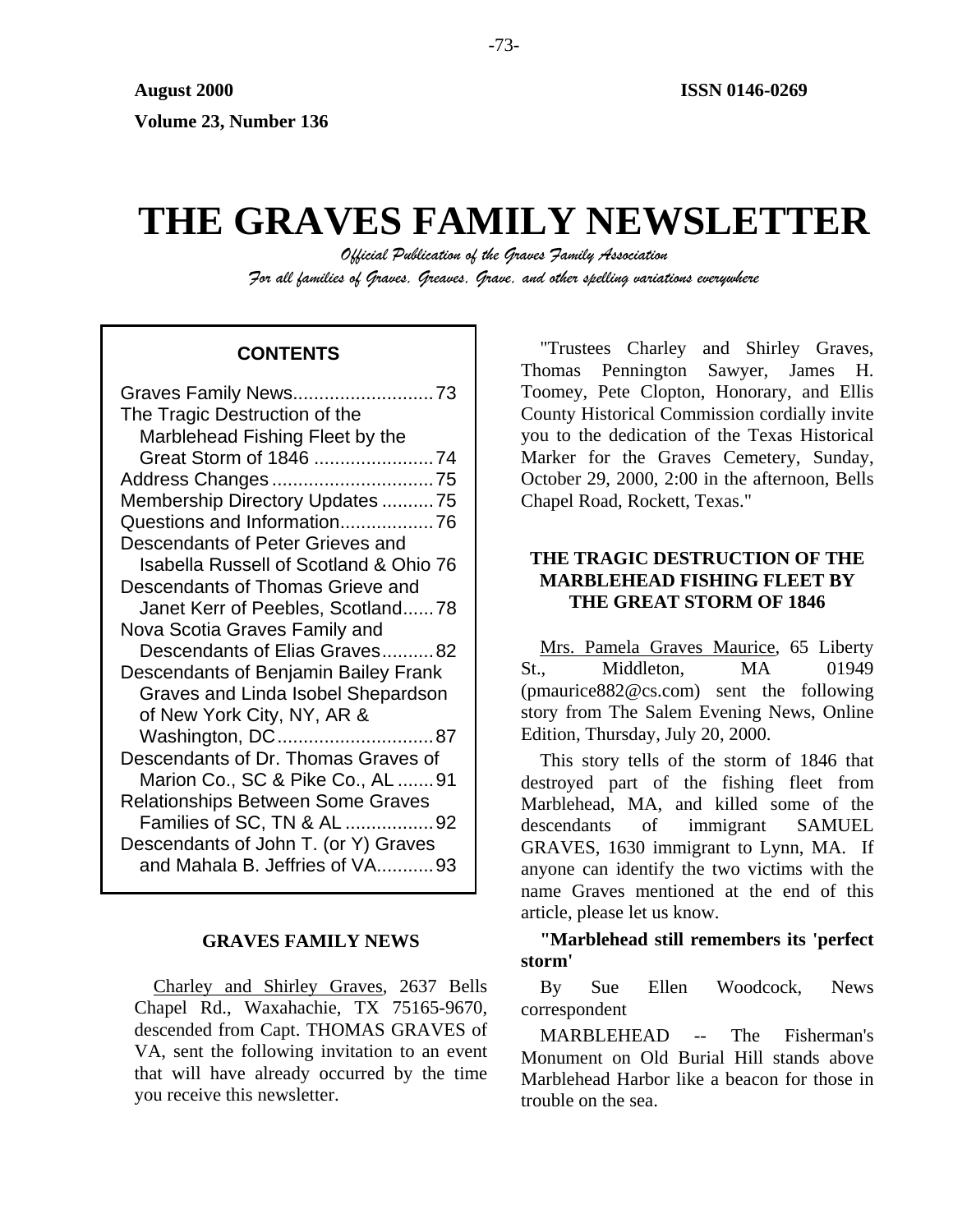# **THE GRAVES FAMILY NEWSLETTER**

*Official Publication of the Graves Family Association For all families of Graves, Greaves, Grave, and other spelling variations everywhere* 

# **CONTENTS**

| Graves Family News73                                                   |
|------------------------------------------------------------------------|
| The Tragic Destruction of the                                          |
| Marblehead Fishing Fleet by the                                        |
| Great Storm of 1846 74                                                 |
| Address Changes75                                                      |
| Membership Directory Updates 75                                        |
|                                                                        |
| Descendants of Peter Grieves and                                       |
| <b>Isabella Russell of Scotland &amp; Ohio 76</b>                      |
| Descendants of Thomas Grieve and                                       |
| Janet Kerr of Peebles, Scotland78                                      |
| Nova Scotia Graves Family and                                          |
| Descendants of Elias Graves82                                          |
| Descendants of Benjamin Bailey Frank                                   |
| Graves and Linda Isobel Shepardson                                     |
| of New York City, NY, AR &                                             |
| Washington, DC87                                                       |
| Descendants of Dr. Thomas Graves of                                    |
| Marion Co., SC & Pike Co., AL 91                                       |
| <b>Relationships Between Some Graves</b>                               |
| Families of SC, TN & AL 92                                             |
|                                                                        |
| Descendants of John T. (or Y) Graves<br>and Mahala B. Jeffries of VA93 |

#### **GRAVES FAMILY NEWS**

Charley and Shirley Graves, 2637 Bells Chapel Rd., Waxahachie, TX 75165-9670, descended from Capt. THOMAS GRAVES of VA, sent the following invitation to an event that will have already occurred by the time you receive this newsletter.

"Trustees Charley and Shirley Graves, Thomas Pennington Sawyer, James H. Toomey, Pete Clopton, Honorary, and Ellis County Historical Commission cordially invite you to the dedication of the Texas Historical Marker for the Graves Cemetery, Sunday, October 29, 2000, 2:00 in the afternoon, Bells Chapel Road, Rockett, Texas."

# **THE TRAGIC DESTRUCTION OF THE MARBLEHEAD FISHING FLEET BY THE GREAT STORM OF 1846**

Mrs. Pamela Graves Maurice, 65 Liberty St., Middleton, MA 01949 (pmaurice882@cs.com) sent the following story from The Salem Evening News, Online Edition, Thursday, July 20, 2000.

This story tells of the storm of 1846 that destroyed part of the fishing fleet from Marblehead, MA, and killed some of the descendants of immigrant SAMUEL GRAVES, 1630 immigrant to Lynn, MA. If anyone can identify the two victims with the name Graves mentioned at the end of this article, please let us know.

**"Marblehead still remembers its 'perfect storm'** 

By Sue Ellen Woodcock, News correspondent

MARBLEHEAD -- The Fisherman's Monument on Old Burial Hill stands above Marblehead Harbor like a beacon for those in trouble on the sea.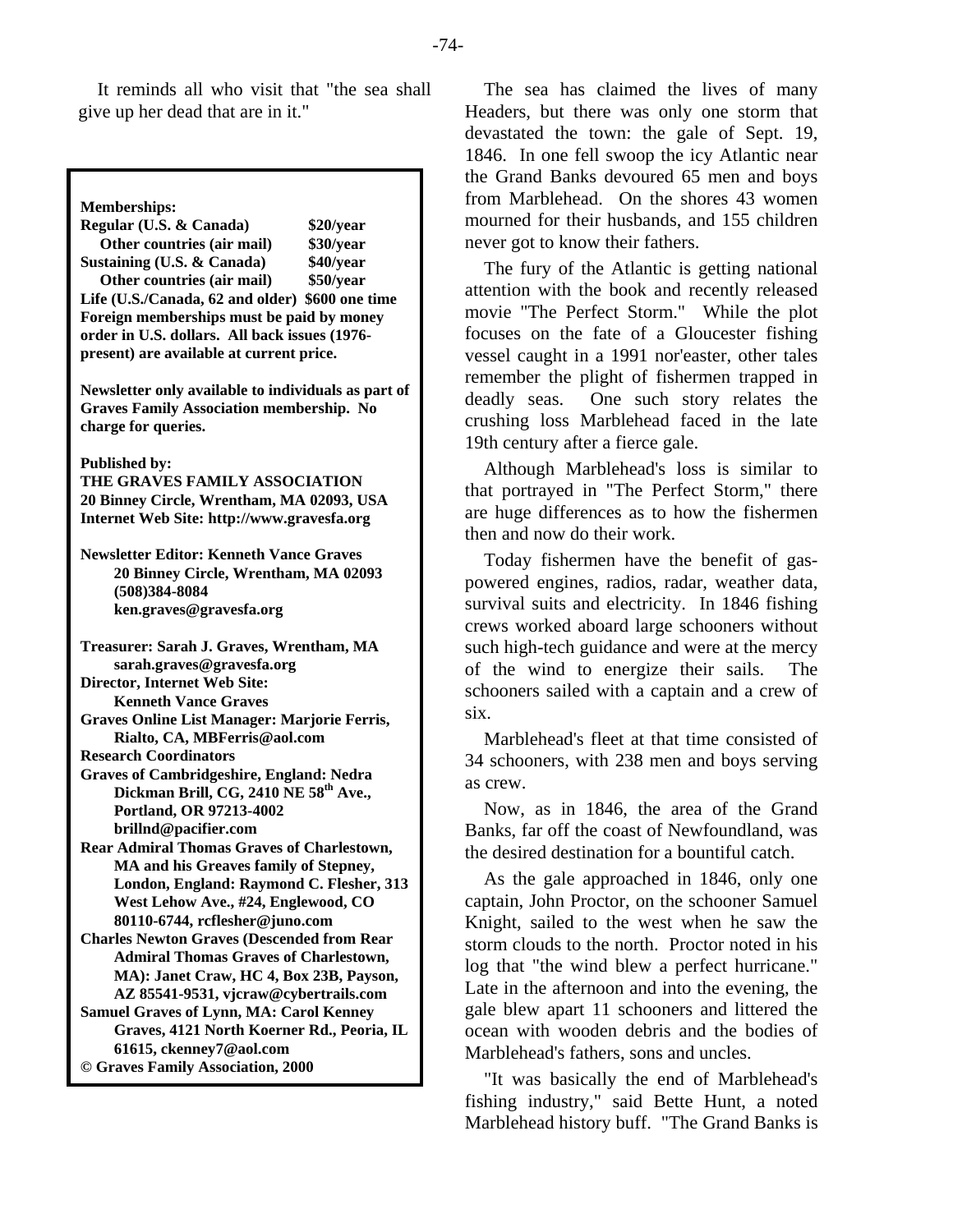It reminds all who visit that "the sea shall give up her dead that are in it."

**Memberships:** 

**Regular (U.S. & Canada) \$20/year Other countries (air mail) \$30/year Sustaining (U.S. & Canada) \$40/year Other countries (air mail) \$50/year Life (U.S./Canada, 62 and older) \$600 one time Foreign memberships must be paid by money order in U.S. dollars. All back issues (1976 present) are available at current price.** 

**Newsletter only available to individuals as part of Graves Family Association membership. No charge for queries.** 

**Published by:** 

**THE GRAVES FAMILY ASSOCIATION 20 Binney Circle, Wrentham, MA 02093, USA Internet Web Site: http://www.gravesfa.org** 

**Newsletter Editor: Kenneth Vance Graves 20 Binney Circle, Wrentham, MA 02093 (508)384-8084 ken.graves@gravesfa.org** 

**Treasurer: Sarah J. Graves, Wrentham, MA sarah.graves@gravesfa.org** 

**Director, Internet Web Site: Kenneth Vance Graves** 

**Graves Online List Manager: Marjorie Ferris, Rialto, CA, MBFerris@aol.com** 

**Research Coordinators** 

**Graves of Cambridgeshire, England: Nedra Dickman Brill, CG, 2410 NE 58th Ave., Portland, OR 97213-4002 brillnd@pacifier.com** 

**Rear Admiral Thomas Graves of Charlestown, MA and his Greaves family of Stepney, London, England: Raymond C. Flesher, 313 West Lehow Ave., #24, Englewood, CO 80110-6744, rcflesher@juno.com** 

- **Charles Newton Graves (Descended from Rear Admiral Thomas Graves of Charlestown, MA): Janet Craw, HC 4, Box 23B, Payson, AZ 85541-9531, vjcraw@cybertrails.com**
- **Samuel Graves of Lynn, MA: Carol Kenney Graves, 4121 North Koerner Rd., Peoria, IL 61615, ckenney7@aol.com © Graves Family Association, 2000**

The sea has claimed the lives of many Headers, but there was only one storm that devastated the town: the gale of Sept. 19, 1846. In one fell swoop the icy Atlantic near the Grand Banks devoured 65 men and boys from Marblehead. On the shores 43 women mourned for their husbands, and 155 children never got to know their fathers.

The fury of the Atlantic is getting national attention with the book and recently released movie "The Perfect Storm." While the plot focuses on the fate of a Gloucester fishing vessel caught in a 1991 nor'easter, other tales remember the plight of fishermen trapped in deadly seas. One such story relates the crushing loss Marblehead faced in the late 19th century after a fierce gale.

Although Marblehead's loss is similar to that portrayed in "The Perfect Storm," there are huge differences as to how the fishermen then and now do their work.

Today fishermen have the benefit of gaspowered engines, radios, radar, weather data, survival suits and electricity. In 1846 fishing crews worked aboard large schooners without such high-tech guidance and were at the mercy of the wind to energize their sails. The schooners sailed with a captain and a crew of six.

Marblehead's fleet at that time consisted of 34 schooners, with 238 men and boys serving as crew.

Now, as in 1846, the area of the Grand Banks, far off the coast of Newfoundland, was the desired destination for a bountiful catch.

As the gale approached in 1846, only one captain, John Proctor, on the schooner Samuel Knight, sailed to the west when he saw the storm clouds to the north. Proctor noted in his log that "the wind blew a perfect hurricane." Late in the afternoon and into the evening, the gale blew apart 11 schooners and littered the ocean with wooden debris and the bodies of Marblehead's fathers, sons and uncles.

"It was basically the end of Marblehead's fishing industry," said Bette Hunt, a noted Marblehead history buff. "The Grand Banks is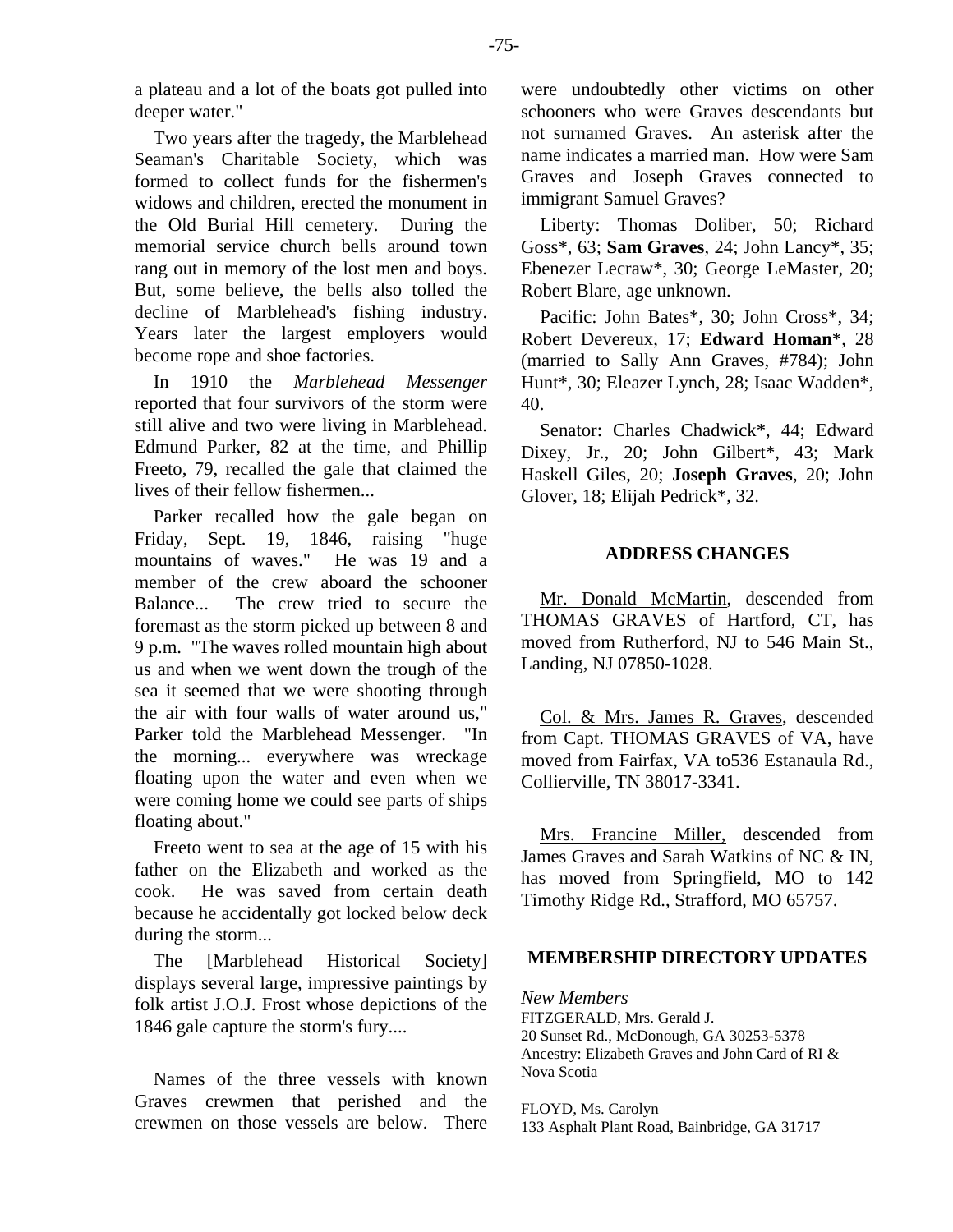Two years after the tragedy, the Marblehead Seaman's Charitable Society, which was formed to collect funds for the fishermen's widows and children, erected the monument in the Old Burial Hill cemetery. During the memorial service church bells around town rang out in memory of the lost men and boys. But, some believe, the bells also tolled the decline of Marblehead's fishing industry. Years later the largest employers would become rope and shoe factories.

In 1910 the *Marblehead Messenger* reported that four survivors of the storm were still alive and two were living in Marblehead. Edmund Parker, 82 at the time, and Phillip Freeto, 79, recalled the gale that claimed the lives of their fellow fishermen...

Parker recalled how the gale began on Friday, Sept. 19, 1846, raising "huge mountains of waves." He was 19 and a member of the crew aboard the schooner Balance... The crew tried to secure the foremast as the storm picked up between 8 and 9 p.m. "The waves rolled mountain high about us and when we went down the trough of the sea it seemed that we were shooting through the air with four walls of water around us," Parker told the Marblehead Messenger. "In the morning... everywhere was wreckage floating upon the water and even when we were coming home we could see parts of ships floating about."

Freeto went to sea at the age of 15 with his father on the Elizabeth and worked as the cook. He was saved from certain death because he accidentally got locked below deck during the storm...

The [Marblehead Historical Society] displays several large, impressive paintings by folk artist J.O.J. Frost whose depictions of the 1846 gale capture the storm's fury....

Names of the three vessels with known Graves crewmen that perished and the crewmen on those vessels are below. There were undoubtedly other victims on other schooners who were Graves descendants but not surnamed Graves. An asterisk after the name indicates a married man. How were Sam Graves and Joseph Graves connected to immigrant Samuel Graves?

Liberty: Thomas Doliber, 50; Richard Goss\*, 63; **Sam Graves**, 24; John Lancy\*, 35; Ebenezer Lecraw\*, 30; George LeMaster, 20; Robert Blare, age unknown.

Pacific: John Bates\*, 30; John Cross\*, 34; Robert Devereux, 17; **Edward Homan**\*, 28 (married to Sally Ann Graves, #784); John Hunt\*, 30; Eleazer Lynch, 28; Isaac Wadden\*, 40.

Senator: Charles Chadwick\*, 44; Edward Dixey, Jr., 20; John Gilbert\*, 43; Mark Haskell Giles, 20; **Joseph Graves**, 20; John Glover, 18; Elijah Pedrick\*, 32.

# **ADDRESS CHANGES**

Mr. Donald McMartin, descended from THOMAS GRAVES of Hartford, CT, has moved from Rutherford, NJ to 546 Main St., Landing, NJ 07850-1028.

Col. & Mrs. James R. Graves, descended from Capt. THOMAS GRAVES of VA, have moved from Fairfax, VA to536 Estanaula Rd., Collierville, TN 38017-3341.

Mrs. Francine Miller, descended from James Graves and Sarah Watkins of NC & IN, has moved from Springfield, MO to 142 Timothy Ridge Rd., Strafford, MO 65757.

#### **MEMBERSHIP DIRECTORY UPDATES**

*New Members*  FITZGERALD, Mrs. Gerald J. 20 Sunset Rd., McDonough, GA 30253-5378 Ancestry: Elizabeth Graves and John Card of RI & Nova Scotia

FLOYD, Ms. Carolyn 133 Asphalt Plant Road, Bainbridge, GA 31717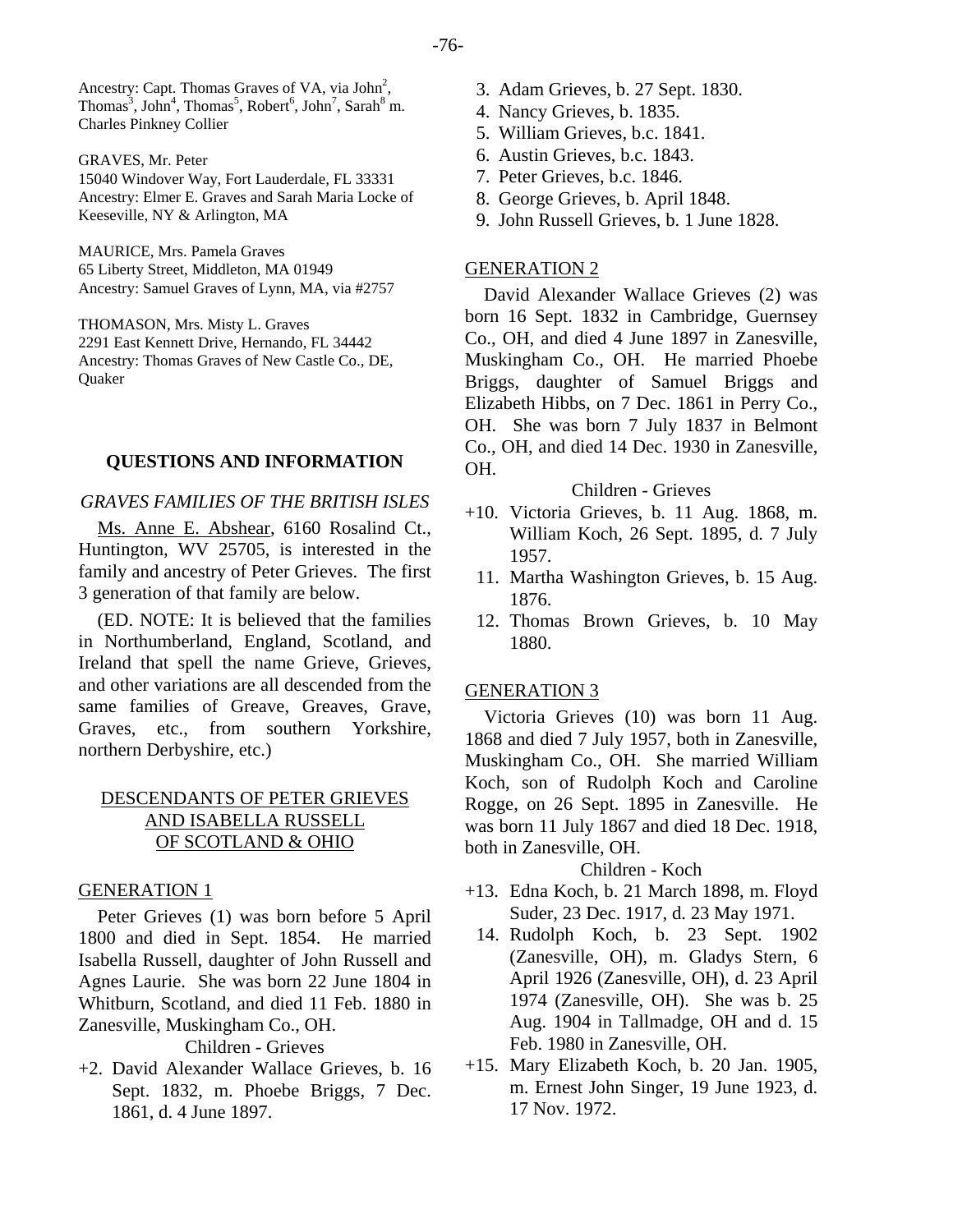Ancestry: Capt. Thomas Graves of VA, via  $John<sup>2</sup>$ , Thomas<sup>3</sup>, John<sup>4</sup>, Thomas<sup>5</sup>, Robert<sup>6</sup>, John<sup>7</sup>, Sarah<sup>8</sup> m. Charles Pinkney Collier

GRAVES, Mr. Peter

15040 Windover Way, Fort Lauderdale, FL 33331 Ancestry: Elmer E. Graves and Sarah Maria Locke of Keeseville, NY & Arlington, MA

MAURICE, Mrs. Pamela Graves 65 Liberty Street, Middleton, MA 01949 Ancestry: Samuel Graves of Lynn, MA, via #2757

THOMASON, Mrs. Misty L. Graves 2291 East Kennett Drive, Hernando, FL 34442 Ancestry: Thomas Graves of New Castle Co., DE, **Ouaker** 

# **QUESTIONS AND INFORMATION**

# *GRAVES FAMILIES OF THE BRITISH ISLES*

Ms. Anne E. Abshear, 6160 Rosalind Ct., Huntington, WV 25705, is interested in the family and ancestry of Peter Grieves. The first 3 generation of that family are below.

(ED. NOTE: It is believed that the families in Northumberland, England, Scotland, and Ireland that spell the name Grieve, Grieves, and other variations are all descended from the same families of Greave, Greaves, Grave, Graves, etc., from southern Yorkshire, northern Derbyshire, etc.)

# DESCENDANTS OF PETER GRIEVES AND ISABELLA RUSSELL OF SCOTLAND & OHIO

#### GENERATION 1

Peter Grieves (1) was born before 5 April 1800 and died in Sept. 1854. He married Isabella Russell, daughter of John Russell and Agnes Laurie. She was born 22 June 1804 in Whitburn, Scotland, and died 11 Feb. 1880 in Zanesville, Muskingham Co., OH.

Children - Grieves

+2. David Alexander Wallace Grieves, b. 16 Sept. 1832, m. Phoebe Briggs, 7 Dec. 1861, d. 4 June 1897.

- 3. Adam Grieves, b. 27 Sept. 1830.
- 4. Nancy Grieves, b. 1835.
- 5. William Grieves, b.c. 1841.
- 6. Austin Grieves, b.c. 1843.
- 7. Peter Grieves, b.c. 1846.
- 8. George Grieves, b. April 1848.
- 9. John Russell Grieves, b. 1 June 1828.

### GENERATION 2

David Alexander Wallace Grieves (2) was born 16 Sept. 1832 in Cambridge, Guernsey Co., OH, and died 4 June 1897 in Zanesville, Muskingham Co., OH. He married Phoebe Briggs, daughter of Samuel Briggs and Elizabeth Hibbs, on 7 Dec. 1861 in Perry Co., OH. She was born 7 July 1837 in Belmont Co., OH, and died 14 Dec. 1930 in Zanesville, OH.

#### Children - Grieves

- +10. Victoria Grieves, b. 11 Aug. 1868, m. William Koch, 26 Sept. 1895, d. 7 July 1957.
	- 11. Martha Washington Grieves, b. 15 Aug. 1876.
	- 12. Thomas Brown Grieves, b. 10 May 1880.

#### GENERATION 3

Victoria Grieves (10) was born 11 Aug. 1868 and died 7 July 1957, both in Zanesville, Muskingham Co., OH. She married William Koch, son of Rudolph Koch and Caroline Rogge, on 26 Sept. 1895 in Zanesville. He was born 11 July 1867 and died 18 Dec. 1918, both in Zanesville, OH.

#### Children - Koch

- +13. Edna Koch, b. 21 March 1898, m. Floyd Suder, 23 Dec. 1917, d. 23 May 1971.
	- 14. Rudolph Koch, b. 23 Sept. 1902 (Zanesville, OH), m. Gladys Stern, 6 April 1926 (Zanesville, OH), d. 23 April 1974 (Zanesville, OH). She was b. 25 Aug. 1904 in Tallmadge, OH and d. 15 Feb. 1980 in Zanesville, OH.
- +15. Mary Elizabeth Koch, b. 20 Jan. 1905, m. Ernest John Singer, 19 June 1923, d. 17 Nov. 1972.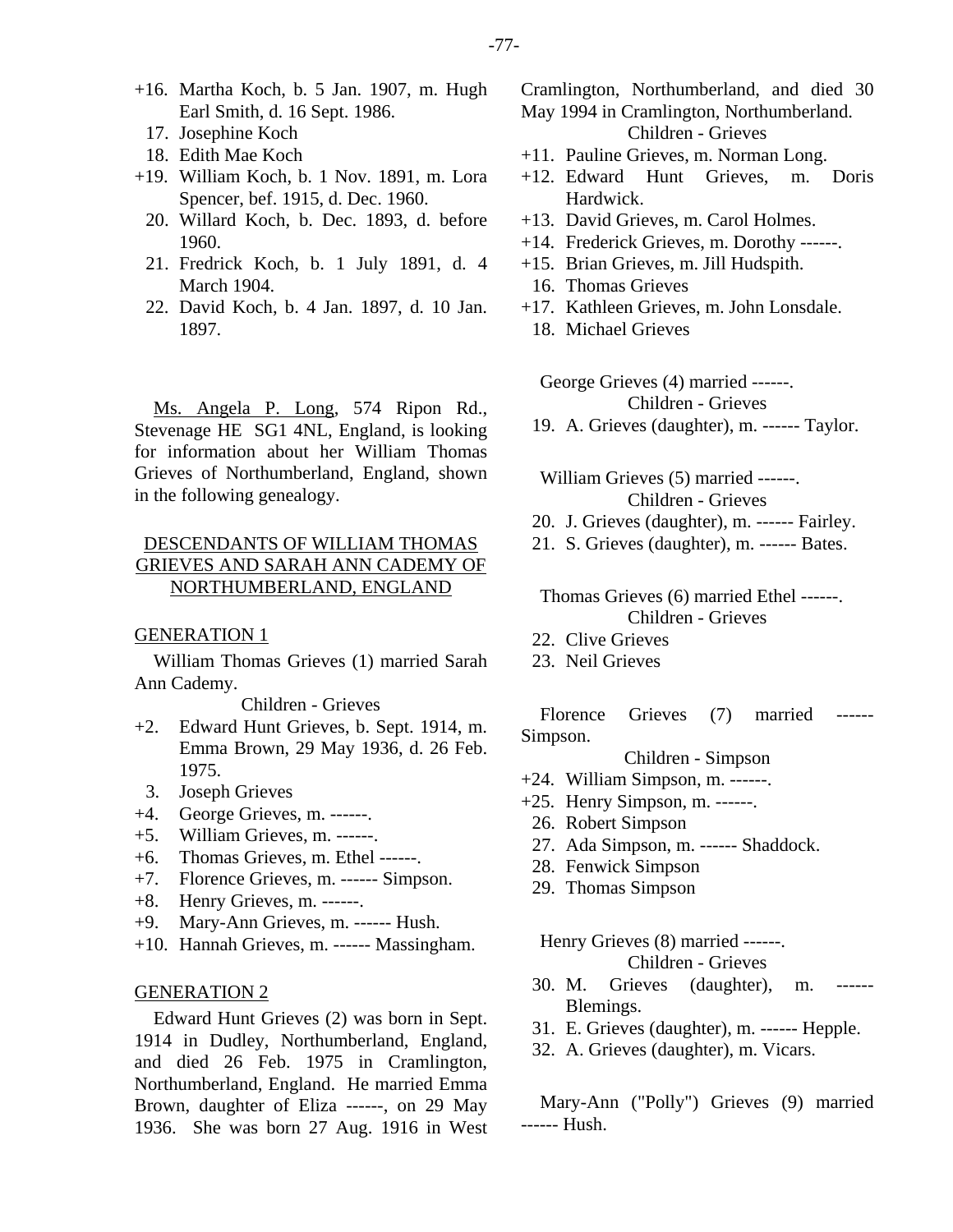- +16. Martha Koch, b. 5 Jan. 1907, m. Hugh Earl Smith, d. 16 Sept. 1986.
	- 17. Josephine Koch
	- 18. Edith Mae Koch
- +19. William Koch, b. 1 Nov. 1891, m. Lora Spencer, bef. 1915, d. Dec. 1960.
	- 20. Willard Koch, b. Dec. 1893, d. before 1960.
	- 21. Fredrick Koch, b. 1 July 1891, d. 4 March 1904.
	- 22. David Koch, b. 4 Jan. 1897, d. 10 Jan. 1897.

Ms. Angela P. Long, 574 Ripon Rd., Stevenage HE SG1 4NL, England, is looking for information about her William Thomas Grieves of Northumberland, England, shown in the following genealogy.

# DESCENDANTS OF WILLIAM THOMAS GRIEVES AND SARAH ANN CADEMY OF NORTHUMBERLAND, ENGLAND

#### GENERATION 1

William Thomas Grieves (1) married Sarah Ann Cademy.

Children - Grieves

- +2. Edward Hunt Grieves, b. Sept. 1914, m. Emma Brown, 29 May 1936, d. 26 Feb. 1975.
- 3. Joseph Grieves
- +4. George Grieves, m. ------.
- +5. William Grieves, m. ------.
- +6. Thomas Grieves, m. Ethel ------.
- +7. Florence Grieves, m. ------ Simpson.
- +8. Henry Grieves, m. ------.
- +9. Mary-Ann Grieves, m. ------ Hush.
- +10. Hannah Grieves, m. ------ Massingham.

#### GENERATION 2

Edward Hunt Grieves (2) was born in Sept. 1914 in Dudley, Northumberland, England, and died 26 Feb. 1975 in Cramlington, Northumberland, England. He married Emma Brown, daughter of Eliza ------, on 29 May 1936. She was born 27 Aug. 1916 in West

- Cramlington, Northumberland, and died 30 May 1994 in Cramlington, Northumberland. Children - Grieves +11. Pauline Grieves, m. Norman Long.
- 
- +12. Edward Hunt Grieves, m. Doris Hardwick.
- +13. David Grieves, m. Carol Holmes.
- +14. Frederick Grieves, m. Dorothy ------.
- +15. Brian Grieves, m. Jill Hudspith.
	- 16. Thomas Grieves
- +17. Kathleen Grieves, m. John Lonsdale. 18. Michael Grieves

George Grieves (4) married ------. Children - Grieves

19. A. Grieves (daughter), m. ------ Taylor.

William Grieves (5) married ------. Children - Grieves

- 20. J. Grieves (daughter), m. ------ Fairley.
- 21. S. Grieves (daughter), m. ------ Bates.

Thomas Grieves (6) married Ethel ------. Children - Grieves

- 22. Clive Grieves
- 23. Neil Grieves

Florence Grieves (7) married ------ Simpson.

Children - Simpson

- +24. William Simpson, m. ------.
- +25. Henry Simpson, m. ------.
	- 26. Robert Simpson
- 27. Ada Simpson, m. ------ Shaddock.
- 28. Fenwick Simpson
- 29. Thomas Simpson

Henry Grieves (8) married ------. Children - Grieves

- 30. M. Grieves (daughter), m. Blemings.
- 31. E. Grieves (daughter), m. ------ Hepple.
- 32. A. Grieves (daughter), m. Vicars.

Mary-Ann ("Polly") Grieves (9) married ------ Hush.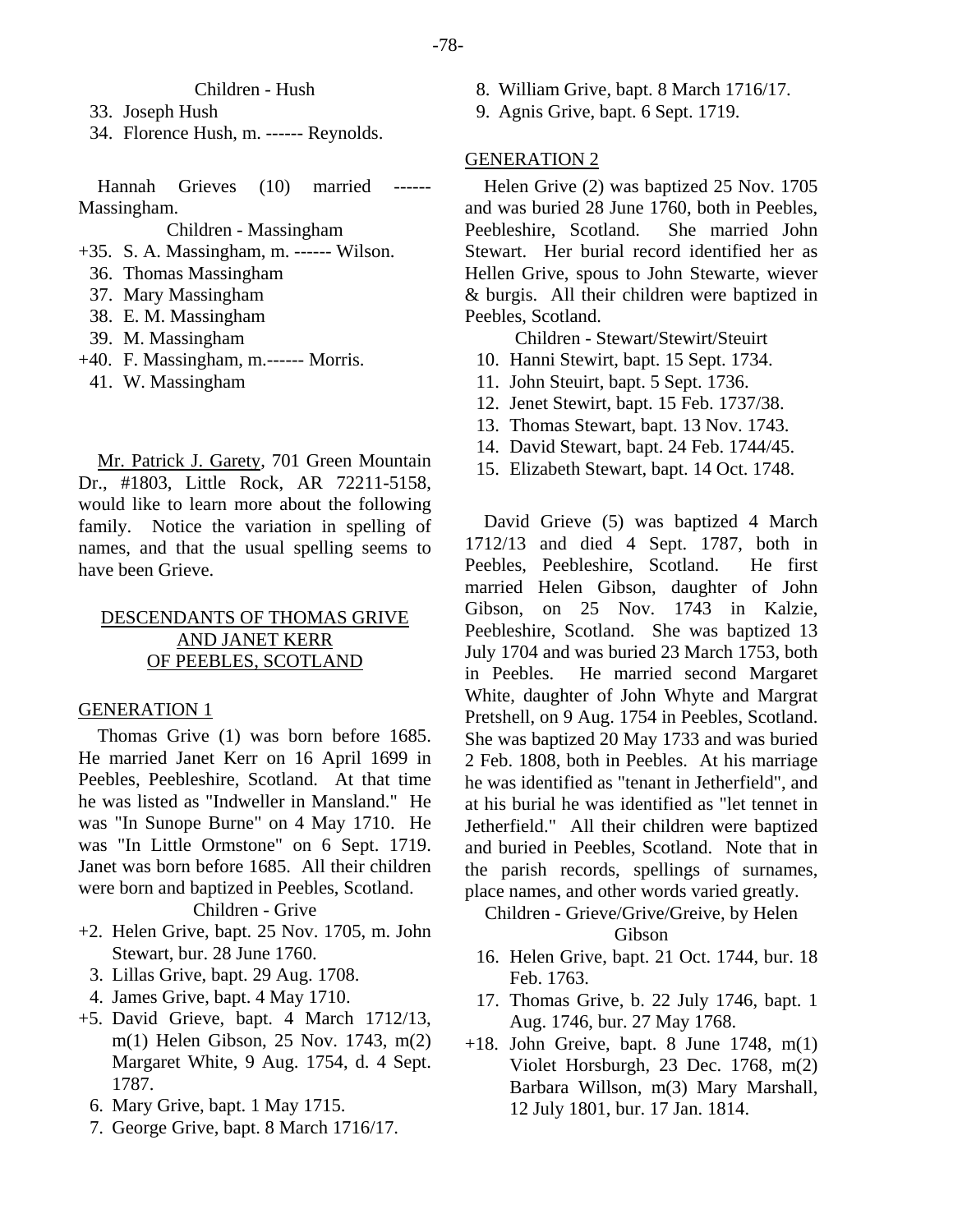### Children - Hush

33. Joseph Hush

34. Florence Hush, m. ------ Reynolds.

Hannah Grieves (10) married ------ Massingham.

Children - Massingham

+35. S. A. Massingham, m. ------ Wilson.

- 36. Thomas Massingham
- 37. Mary Massingham
- 38. E. M. Massingham
- 39. M. Massingham
- +40. F. Massingham, m.------ Morris.
- 41. W. Massingham

Mr. Patrick J. Garety, 701 Green Mountain Dr., #1803, Little Rock, AR 72211-5158, would like to learn more about the following family. Notice the variation in spelling of names, and that the usual spelling seems to have been Grieve.

# DESCENDANTS OF THOMAS GRIVE AND JANET KERR OF PEEBLES, SCOTLAND

#### GENERATION 1

Thomas Grive (1) was born before 1685. He married Janet Kerr on 16 April 1699 in Peebles, Peebleshire, Scotland. At that time he was listed as "Indweller in Mansland." He was "In Sunope Burne" on 4 May 1710. He was "In Little Ormstone" on 6 Sept. 1719. Janet was born before 1685. All their children were born and baptized in Peebles, Scotland.

#### Children - Grive

- +2. Helen Grive, bapt. 25 Nov. 1705, m. John Stewart, bur. 28 June 1760.
- 3. Lillas Grive, bapt. 29 Aug. 1708.
- 4. James Grive, bapt. 4 May 1710.
- +5. David Grieve, bapt. 4 March 1712/13, m(1) Helen Gibson, 25 Nov. 1743, m(2) Margaret White, 9 Aug. 1754, d. 4 Sept. 1787.
	- 6. Mary Grive, bapt. 1 May 1715.
	- 7. George Grive, bapt. 8 March 1716/17.
- 8. William Grive, bapt. 8 March 1716/17.
- 9. Agnis Grive, bapt. 6 Sept. 1719.

#### GENERATION 2

Helen Grive (2) was baptized 25 Nov. 1705 and was buried 28 June 1760, both in Peebles, Peebleshire, Scotland. She married John Stewart. Her burial record identified her as Hellen Grive, spous to John Stewarte, wiever & burgis. All their children were baptized in Peebles, Scotland.

Children - Stewart/Stewirt/Steuirt

- 10. Hanni Stewirt, bapt. 15 Sept. 1734.
- 11. John Steuirt, bapt. 5 Sept. 1736.
- 12. Jenet Stewirt, bapt. 15 Feb. 1737/38.
- 13. Thomas Stewart, bapt. 13 Nov. 1743.
- 14. David Stewart, bapt. 24 Feb. 1744/45.
- 15. Elizabeth Stewart, bapt. 14 Oct. 1748.

David Grieve (5) was baptized 4 March 1712/13 and died 4 Sept. 1787, both in Peebles, Peebleshire, Scotland. He first married Helen Gibson, daughter of John Gibson, on 25 Nov. 1743 in Kalzie, Peebleshire, Scotland. She was baptized 13 July 1704 and was buried 23 March 1753, both in Peebles. He married second Margaret White, daughter of John Whyte and Margrat Pretshell, on 9 Aug. 1754 in Peebles, Scotland. She was baptized 20 May 1733 and was buried 2 Feb. 1808, both in Peebles. At his marriage he was identified as "tenant in Jetherfield", and at his burial he was identified as "let tennet in Jetherfield." All their children were baptized and buried in Peebles, Scotland. Note that in the parish records, spellings of surnames, place names, and other words varied greatly.

# Children - Grieve/Grive/Greive, by Helen Gibson

- 16. Helen Grive, bapt. 21 Oct. 1744, bur. 18 Feb. 1763.
- 17. Thomas Grive, b. 22 July 1746, bapt. 1 Aug. 1746, bur. 27 May 1768.
- $+18$ . John Greive, bapt. 8 June 1748, m(1) Violet Horsburgh, 23 Dec. 1768, m(2) Barbara Willson, m(3) Mary Marshall, 12 July 1801, bur. 17 Jan. 1814.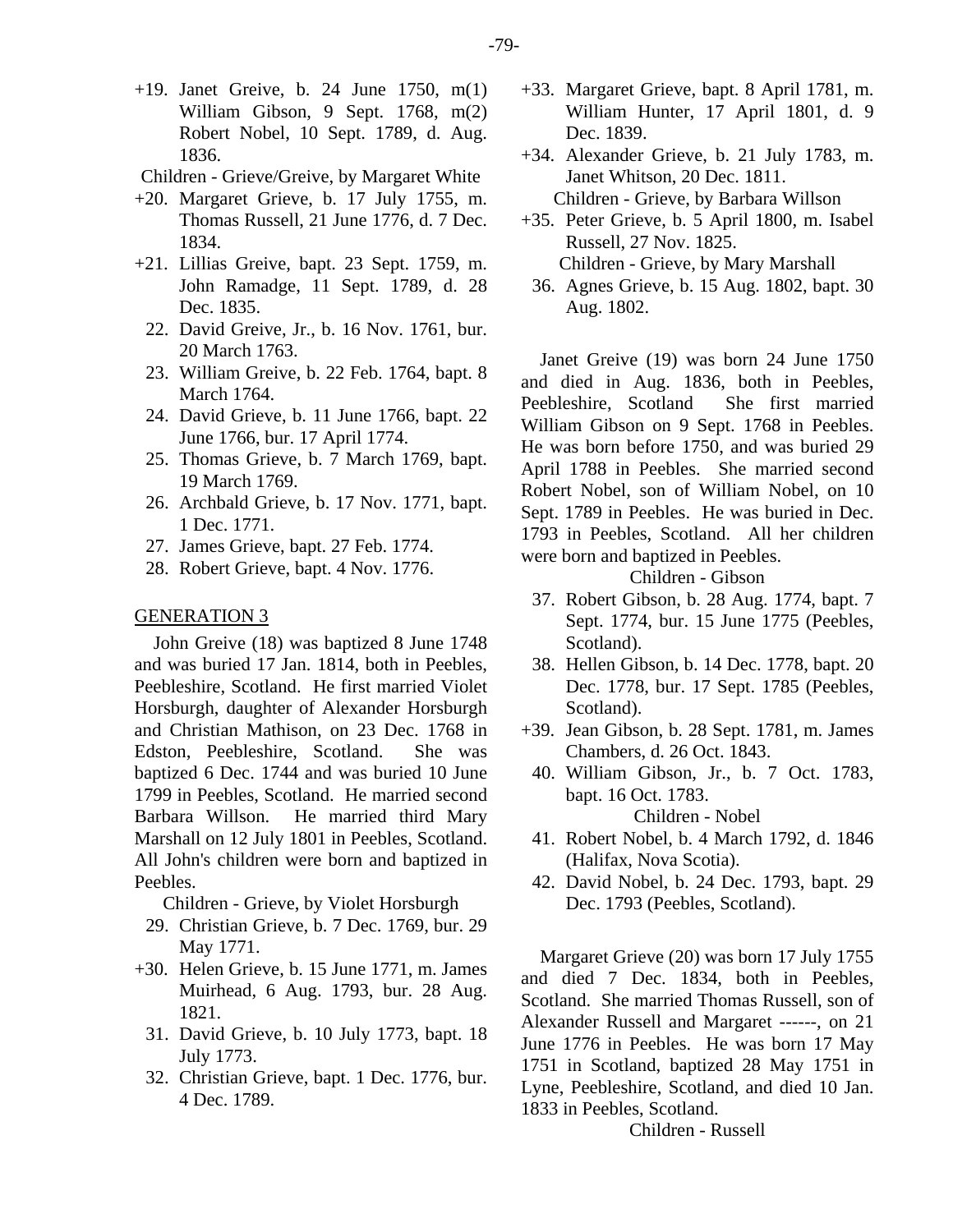- +19. Janet Greive, b. 24 June 1750, m(1) William Gibson, 9 Sept. 1768, m(2) Robert Nobel, 10 Sept. 1789, d. Aug. 1836.
- Children Grieve/Greive, by Margaret White
- +20. Margaret Grieve, b. 17 July 1755, m. Thomas Russell, 21 June 1776, d. 7 Dec. 1834.
- +21. Lillias Greive, bapt. 23 Sept. 1759, m. John Ramadge, 11 Sept. 1789, d. 28 Dec. 1835.
	- 22. David Greive, Jr., b. 16 Nov. 1761, bur. 20 March 1763.
	- 23. William Greive, b. 22 Feb. 1764, bapt. 8 March 1764.
	- 24. David Grieve, b. 11 June 1766, bapt. 22 June 1766, bur. 17 April 1774.
	- 25. Thomas Grieve, b. 7 March 1769, bapt. 19 March 1769.
	- 26. Archbald Grieve, b. 17 Nov. 1771, bapt. 1 Dec. 1771.
	- 27. James Grieve, bapt. 27 Feb. 1774.
	- 28. Robert Grieve, bapt. 4 Nov. 1776.

### GENERATION 3

John Greive (18) was baptized 8 June 1748 and was buried 17 Jan. 1814, both in Peebles, Peebleshire, Scotland. He first married Violet Horsburgh, daughter of Alexander Horsburgh and Christian Mathison, on 23 Dec. 1768 in Edston, Peebleshire, Scotland. She was baptized 6 Dec. 1744 and was buried 10 June 1799 in Peebles, Scotland. He married second Barbara Willson. He married third Mary Marshall on 12 July 1801 in Peebles, Scotland. All John's children were born and baptized in Peebles.

Children - Grieve, by Violet Horsburgh

- 29. Christian Grieve, b. 7 Dec. 1769, bur. 29 May 1771.
- +30. Helen Grieve, b. 15 June 1771, m. James Muirhead, 6 Aug. 1793, bur. 28 Aug. 1821.
	- 31. David Grieve, b. 10 July 1773, bapt. 18 July 1773.
	- 32. Christian Grieve, bapt. 1 Dec. 1776, bur. 4 Dec. 1789.
- +33. Margaret Grieve, bapt. 8 April 1781, m. William Hunter, 17 April 1801, d. 9 Dec. 1839.
- +34. Alexander Grieve, b. 21 July 1783, m. Janet Whitson, 20 Dec. 1811.

Children - Grieve, by Barbara Willson

- +35. Peter Grieve, b. 5 April 1800, m. Isabel Russell, 27 Nov. 1825. Children - Grieve, by Mary Marshall
	- 36. Agnes Grieve, b. 15 Aug. 1802, bapt. 30 Aug. 1802.

Janet Greive (19) was born 24 June 1750 and died in Aug. 1836, both in Peebles, Peebleshire, Scotland She first married William Gibson on 9 Sept. 1768 in Peebles. He was born before 1750, and was buried 29 April 1788 in Peebles. She married second Robert Nobel, son of William Nobel, on 10 Sept. 1789 in Peebles. He was buried in Dec. 1793 in Peebles, Scotland. All her children were born and baptized in Peebles.

Children - Gibson

- 37. Robert Gibson, b. 28 Aug. 1774, bapt. 7 Sept. 1774, bur. 15 June 1775 (Peebles, Scotland).
- 38. Hellen Gibson, b. 14 Dec. 1778, bapt. 20 Dec. 1778, bur. 17 Sept. 1785 (Peebles, Scotland).
- +39. Jean Gibson, b. 28 Sept. 1781, m. James Chambers, d. 26 Oct. 1843.
- 40. William Gibson, Jr., b. 7 Oct. 1783, bapt. 16 Oct. 1783.

Children - Nobel

- 41. Robert Nobel, b. 4 March 1792, d. 1846 (Halifax, Nova Scotia).
- 42. David Nobel, b. 24 Dec. 1793, bapt. 29 Dec. 1793 (Peebles, Scotland).

Margaret Grieve (20) was born 17 July 1755 and died 7 Dec. 1834, both in Peebles, Scotland. She married Thomas Russell, son of Alexander Russell and Margaret ------, on 21 June 1776 in Peebles. He was born 17 May 1751 in Scotland, baptized 28 May 1751 in Lyne, Peebleshire, Scotland, and died 10 Jan. 1833 in Peebles, Scotland.

Children - Russell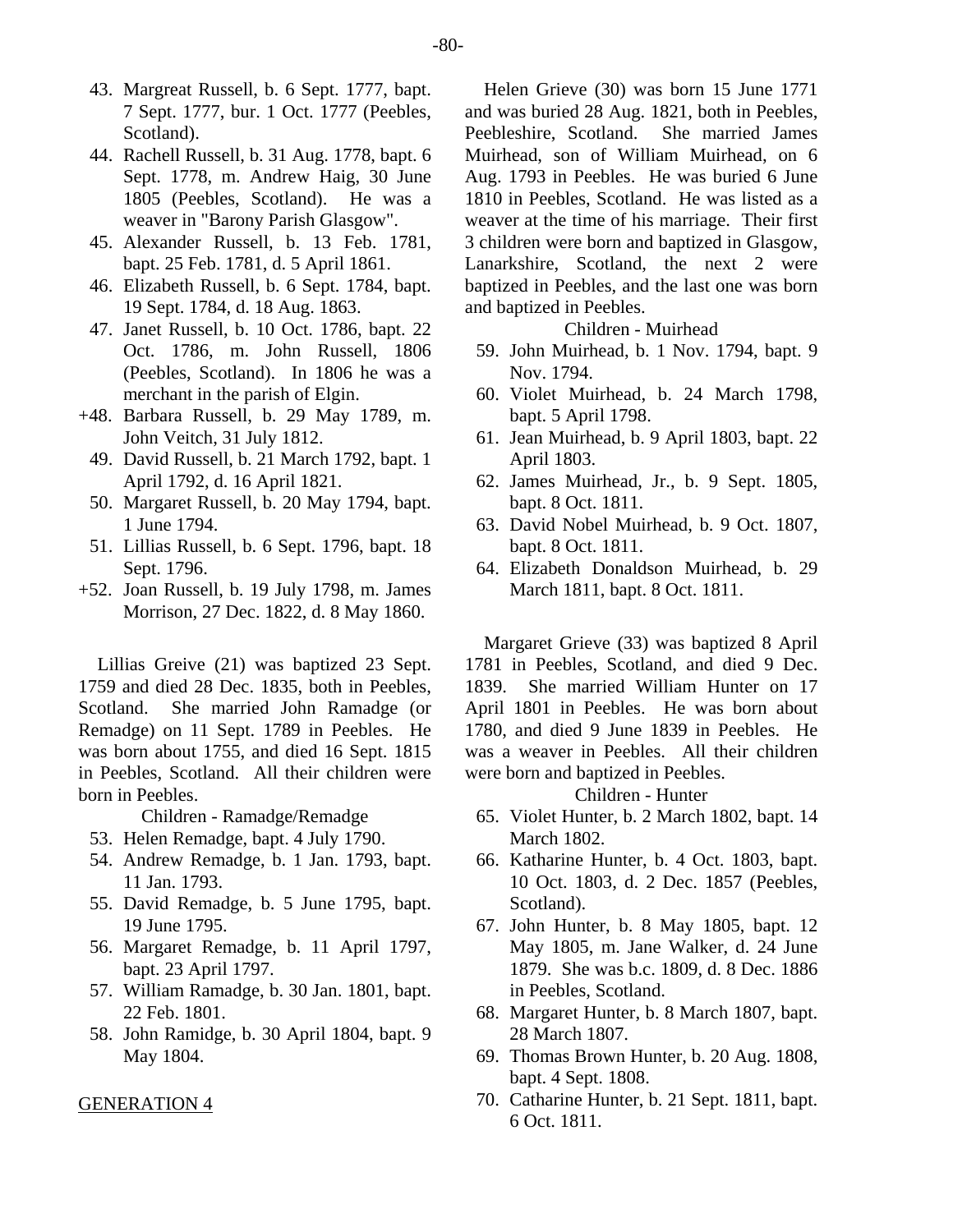- 43. Margreat Russell, b. 6 Sept. 1777, bapt. 7 Sept. 1777, bur. 1 Oct. 1777 (Peebles, Scotland).
- 44. Rachell Russell, b. 31 Aug. 1778, bapt. 6 Sept. 1778, m. Andrew Haig, 30 June 1805 (Peebles, Scotland). He was a weaver in "Barony Parish Glasgow".
- 45. Alexander Russell, b. 13 Feb. 1781, bapt. 25 Feb. 1781, d. 5 April 1861.
- 46. Elizabeth Russell, b. 6 Sept. 1784, bapt. 19 Sept. 1784, d. 18 Aug. 1863.
- 47. Janet Russell, b. 10 Oct. 1786, bapt. 22 Oct. 1786, m. John Russell, 1806 (Peebles, Scotland). In 1806 he was a merchant in the parish of Elgin.
- +48. Barbara Russell, b. 29 May 1789, m. John Veitch, 31 July 1812.
	- 49. David Russell, b. 21 March 1792, bapt. 1 April 1792, d. 16 April 1821.
	- 50. Margaret Russell, b. 20 May 1794, bapt. 1 June 1794.
- 51. Lillias Russell, b. 6 Sept. 1796, bapt. 18 Sept. 1796.
- +52. Joan Russell, b. 19 July 1798, m. James Morrison, 27 Dec. 1822, d. 8 May 1860.

Lillias Greive (21) was baptized 23 Sept. 1759 and died 28 Dec. 1835, both in Peebles, Scotland. She married John Ramadge (or Remadge) on 11 Sept. 1789 in Peebles. He was born about 1755, and died 16 Sept. 1815 in Peebles, Scotland. All their children were born in Peebles.

Children - Ramadge/Remadge

- 53. Helen Remadge, bapt. 4 July 1790.
- 54. Andrew Remadge, b. 1 Jan. 1793, bapt. 11 Jan. 1793.
- 55. David Remadge, b. 5 June 1795, bapt. 19 June 1795.
- 56. Margaret Remadge, b. 11 April 1797, bapt. 23 April 1797.
- 57. William Ramadge, b. 30 Jan. 1801, bapt. 22 Feb. 1801.
- 58. John Ramidge, b. 30 April 1804, bapt. 9 May 1804.

#### GENERATION 4

Helen Grieve (30) was born 15 June 1771 and was buried 28 Aug. 1821, both in Peebles, Peebleshire, Scotland. She married James Muirhead, son of William Muirhead, on 6 Aug. 1793 in Peebles. He was buried 6 June 1810 in Peebles, Scotland. He was listed as a weaver at the time of his marriage. Their first 3 children were born and baptized in Glasgow, Lanarkshire, Scotland, the next 2 were baptized in Peebles, and the last one was born and baptized in Peebles.

Children - Muirhead

- 59. John Muirhead, b. 1 Nov. 1794, bapt. 9 Nov. 1794.
- 60. Violet Muirhead, b. 24 March 1798, bapt. 5 April 1798.
- 61. Jean Muirhead, b. 9 April 1803, bapt. 22 April 1803.
- 62. James Muirhead, Jr., b. 9 Sept. 1805, bapt. 8 Oct. 1811.
- 63. David Nobel Muirhead, b. 9 Oct. 1807, bapt. 8 Oct. 1811.
- 64. Elizabeth Donaldson Muirhead, b. 29 March 1811, bapt. 8 Oct. 1811.

Margaret Grieve (33) was baptized 8 April 1781 in Peebles, Scotland, and died 9 Dec. 1839. She married William Hunter on 17 April 1801 in Peebles. He was born about 1780, and died 9 June 1839 in Peebles. He was a weaver in Peebles. All their children were born and baptized in Peebles.

# Children - Hunter

- 65. Violet Hunter, b. 2 March 1802, bapt. 14 March 1802.
- 66. Katharine Hunter, b. 4 Oct. 1803, bapt. 10 Oct. 1803, d. 2 Dec. 1857 (Peebles, Scotland).
- 67. John Hunter, b. 8 May 1805, bapt. 12 May 1805, m. Jane Walker, d. 24 June 1879. She was b.c. 1809, d. 8 Dec. 1886 in Peebles, Scotland.
- 68. Margaret Hunter, b. 8 March 1807, bapt. 28 March 1807.
- 69. Thomas Brown Hunter, b. 20 Aug. 1808, bapt. 4 Sept. 1808.
- 70. Catharine Hunter, b. 21 Sept. 1811, bapt. 6 Oct. 1811.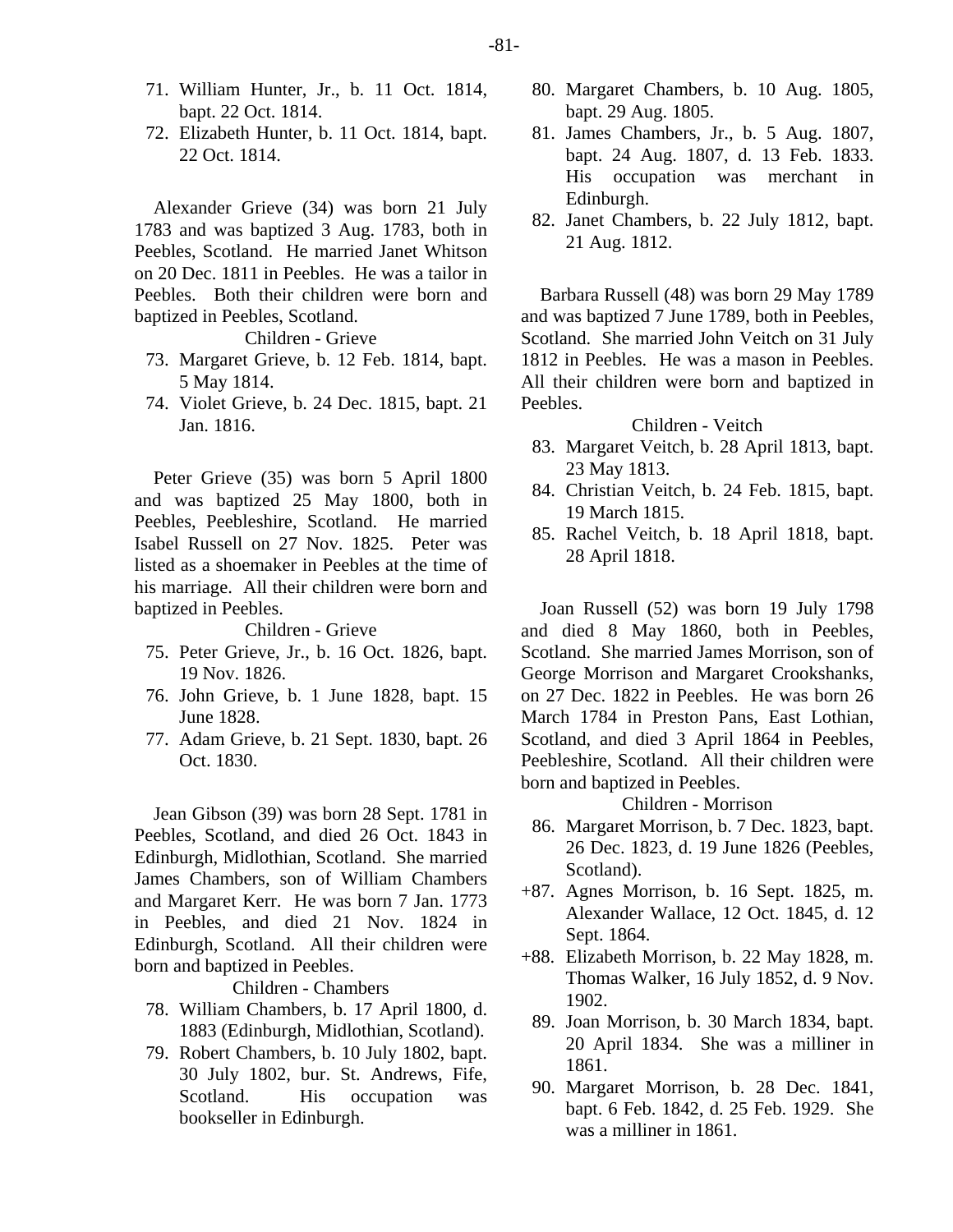- 71. William Hunter, Jr., b. 11 Oct. 1814, bapt. 22 Oct. 1814.
- 72. Elizabeth Hunter, b. 11 Oct. 1814, bapt. 22 Oct. 1814.

Alexander Grieve (34) was born 21 July 1783 and was baptized 3 Aug. 1783, both in Peebles, Scotland. He married Janet Whitson on 20 Dec. 1811 in Peebles. He was a tailor in Peebles. Both their children were born and baptized in Peebles, Scotland.

Children - Grieve

- 73. Margaret Grieve, b. 12 Feb. 1814, bapt. 5 May 1814.
- 74. Violet Grieve, b. 24 Dec. 1815, bapt. 21 Jan. 1816.

Peter Grieve (35) was born 5 April 1800 and was baptized 25 May 1800, both in Peebles, Peebleshire, Scotland. He married Isabel Russell on 27 Nov. 1825. Peter was listed as a shoemaker in Peebles at the time of his marriage. All their children were born and baptized in Peebles.

#### Children - Grieve

- 75. Peter Grieve, Jr., b. 16 Oct. 1826, bapt. 19 Nov. 1826.
- 76. John Grieve, b. 1 June 1828, bapt. 15 June 1828.
- 77. Adam Grieve, b. 21 Sept. 1830, bapt. 26 Oct. 1830.

Jean Gibson (39) was born 28 Sept. 1781 in Peebles, Scotland, and died 26 Oct. 1843 in Edinburgh, Midlothian, Scotland. She married James Chambers, son of William Chambers and Margaret Kerr. He was born 7 Jan. 1773 in Peebles, and died 21 Nov. 1824 in Edinburgh, Scotland. All their children were born and baptized in Peebles.

Children - Chambers

- 78. William Chambers, b. 17 April 1800, d. 1883 (Edinburgh, Midlothian, Scotland).
- 79. Robert Chambers, b. 10 July 1802, bapt. 30 July 1802, bur. St. Andrews, Fife, Scotland. His occupation was bookseller in Edinburgh.
- 80. Margaret Chambers, b. 10 Aug. 1805, bapt. 29 Aug. 1805.
- 81. James Chambers, Jr., b. 5 Aug. 1807, bapt. 24 Aug. 1807, d. 13 Feb. 1833. His occupation was merchant in Edinburgh.
- 82. Janet Chambers, b. 22 July 1812, bapt. 21 Aug. 1812.

Barbara Russell (48) was born 29 May 1789 and was baptized 7 June 1789, both in Peebles, Scotland. She married John Veitch on 31 July 1812 in Peebles. He was a mason in Peebles. All their children were born and baptized in Peebles.

Children - Veitch

- 83. Margaret Veitch, b. 28 April 1813, bapt. 23 May 1813.
- 84. Christian Veitch, b. 24 Feb. 1815, bapt. 19 March 1815.
- 85. Rachel Veitch, b. 18 April 1818, bapt. 28 April 1818.

Joan Russell (52) was born 19 July 1798 and died 8 May 1860, both in Peebles, Scotland. She married James Morrison, son of George Morrison and Margaret Crookshanks, on 27 Dec. 1822 in Peebles. He was born 26 March 1784 in Preston Pans, East Lothian, Scotland, and died 3 April 1864 in Peebles, Peebleshire, Scotland. All their children were born and baptized in Peebles.

Children - Morrison

- 86. Margaret Morrison, b. 7 Dec. 1823, bapt. 26 Dec. 1823, d. 19 June 1826 (Peebles, Scotland).
- +87. Agnes Morrison, b. 16 Sept. 1825, m. Alexander Wallace, 12 Oct. 1845, d. 12 Sept. 1864.
- +88. Elizabeth Morrison, b. 22 May 1828, m. Thomas Walker, 16 July 1852, d. 9 Nov. 1902.
	- 89. Joan Morrison, b. 30 March 1834, bapt. 20 April 1834. She was a milliner in 1861.
	- 90. Margaret Morrison, b. 28 Dec. 1841, bapt. 6 Feb. 1842, d. 25 Feb. 1929. She was a milliner in 1861.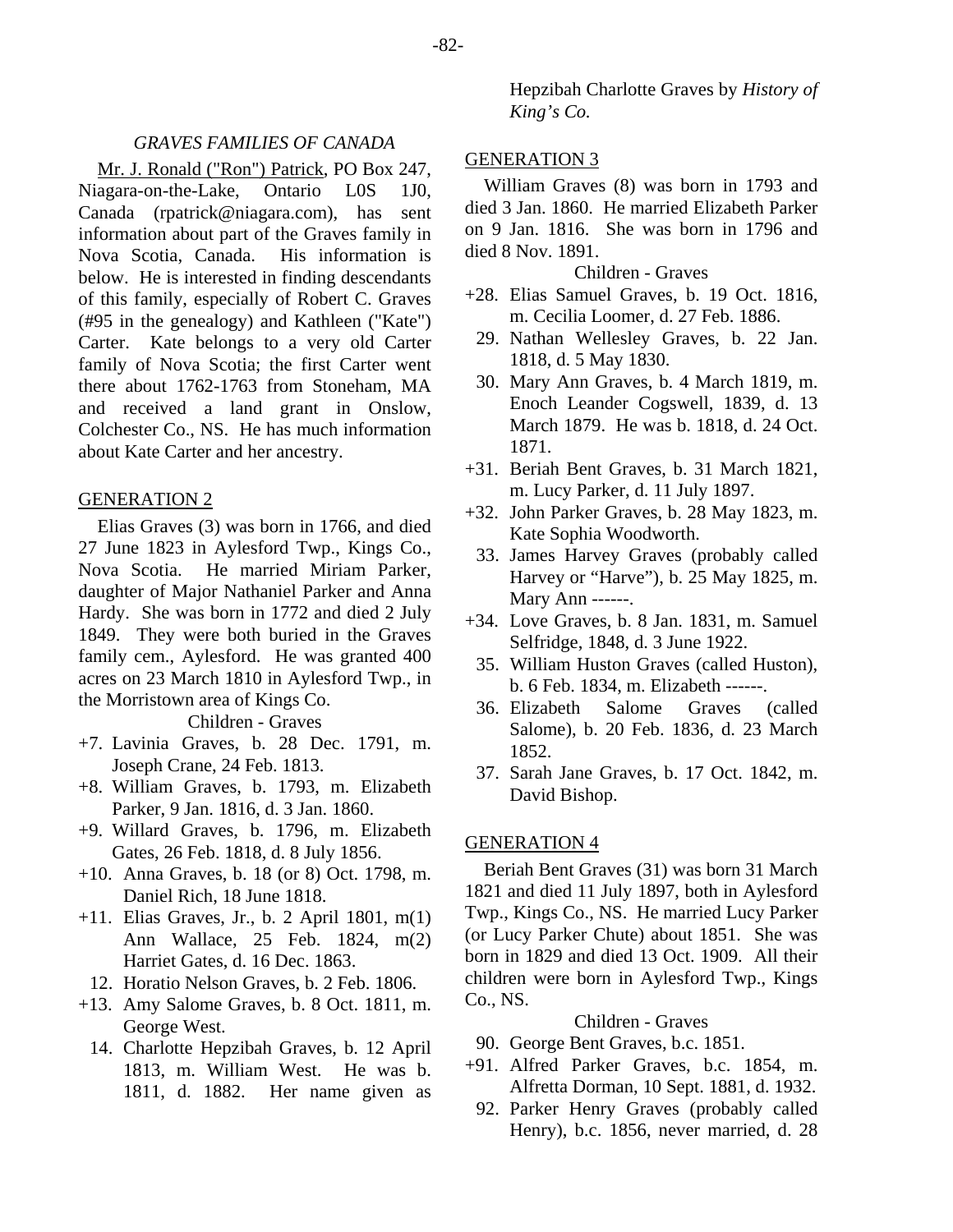#### *GRAVES FAMILIES OF CANADA*

Mr. J. Ronald ("Ron") Patrick, PO Box 247, Niagara-on-the-Lake, Ontario L0S 1J0, Canada (rpatrick@niagara.com), has sent information about part of the Graves family in Nova Scotia, Canada. His information is below. He is interested in finding descendants of this family, especially of Robert C. Graves (#95 in the genealogy) and Kathleen ("Kate") Carter. Kate belongs to a very old Carter family of Nova Scotia; the first Carter went there about 1762-1763 from Stoneham, MA and received a land grant in Onslow, Colchester Co., NS. He has much information about Kate Carter and her ancestry.

#### GENERATION 2

Elias Graves (3) was born in 1766, and died 27 June 1823 in Aylesford Twp., Kings Co., Nova Scotia. He married Miriam Parker, daughter of Major Nathaniel Parker and Anna Hardy. She was born in 1772 and died 2 July 1849. They were both buried in the Graves family cem., Aylesford. He was granted 400 acres on 23 March 1810 in Aylesford Twp., in the Morristown area of Kings Co.

Children - Graves

- +7. Lavinia Graves, b. 28 Dec. 1791, m. Joseph Crane, 24 Feb. 1813.
- +8. William Graves, b. 1793, m. Elizabeth Parker, 9 Jan. 1816, d. 3 Jan. 1860.
- +9. Willard Graves, b. 1796, m. Elizabeth Gates, 26 Feb. 1818, d. 8 July 1856.
- +10. Anna Graves, b. 18 (or 8) Oct. 1798, m. Daniel Rich, 18 June 1818.
- +11. Elias Graves, Jr., b. 2 April 1801, m(1) Ann Wallace, 25 Feb. 1824, m(2) Harriet Gates, d. 16 Dec. 1863.
	- 12. Horatio Nelson Graves, b. 2 Feb. 1806.
- +13. Amy Salome Graves, b. 8 Oct. 1811, m. George West.
	- 14. Charlotte Hepzibah Graves, b. 12 April 1813, m. William West. He was b. 1811, d. 1882. Her name given as

Hepzibah Charlotte Graves by *History of King's Co.*

#### GENERATION 3

William Graves (8) was born in 1793 and died 3 Jan. 1860. He married Elizabeth Parker on 9 Jan. 1816. She was born in 1796 and died 8 Nov. 1891.

#### Children - Graves

- +28. Elias Samuel Graves, b. 19 Oct. 1816, m. Cecilia Loomer, d. 27 Feb. 1886.
	- 29. Nathan Wellesley Graves, b. 22 Jan. 1818, d. 5 May 1830.
- 30. Mary Ann Graves, b. 4 March 1819, m. Enoch Leander Cogswell, 1839, d. 13 March 1879. He was b. 1818, d. 24 Oct. 1871.
- +31. Beriah Bent Graves, b. 31 March 1821, m. Lucy Parker, d. 11 July 1897.
- +32. John Parker Graves, b. 28 May 1823, m. Kate Sophia Woodworth.
- 33. James Harvey Graves (probably called Harvey or "Harve"), b. 25 May 1825, m. Mary Ann ------.
- +34. Love Graves, b. 8 Jan. 1831, m. Samuel Selfridge, 1848, d. 3 June 1922.
- 35. William Huston Graves (called Huston), b. 6 Feb. 1834, m. Elizabeth ------.
- 36. Elizabeth Salome Graves (called Salome), b. 20 Feb. 1836, d. 23 March 1852.
- 37. Sarah Jane Graves, b. 17 Oct. 1842, m. David Bishop.

#### GENERATION 4

Beriah Bent Graves (31) was born 31 March 1821 and died 11 July 1897, both in Aylesford Twp., Kings Co., NS. He married Lucy Parker (or Lucy Parker Chute) about 1851. She was born in 1829 and died 13 Oct. 1909. All their children were born in Aylesford Twp., Kings Co., NS.

#### Children - Graves

90. George Bent Graves, b.c. 1851.

- +91. Alfred Parker Graves, b.c. 1854, m. Alfretta Dorman, 10 Sept. 1881, d. 1932.
	- 92. Parker Henry Graves (probably called Henry), b.c. 1856, never married, d. 28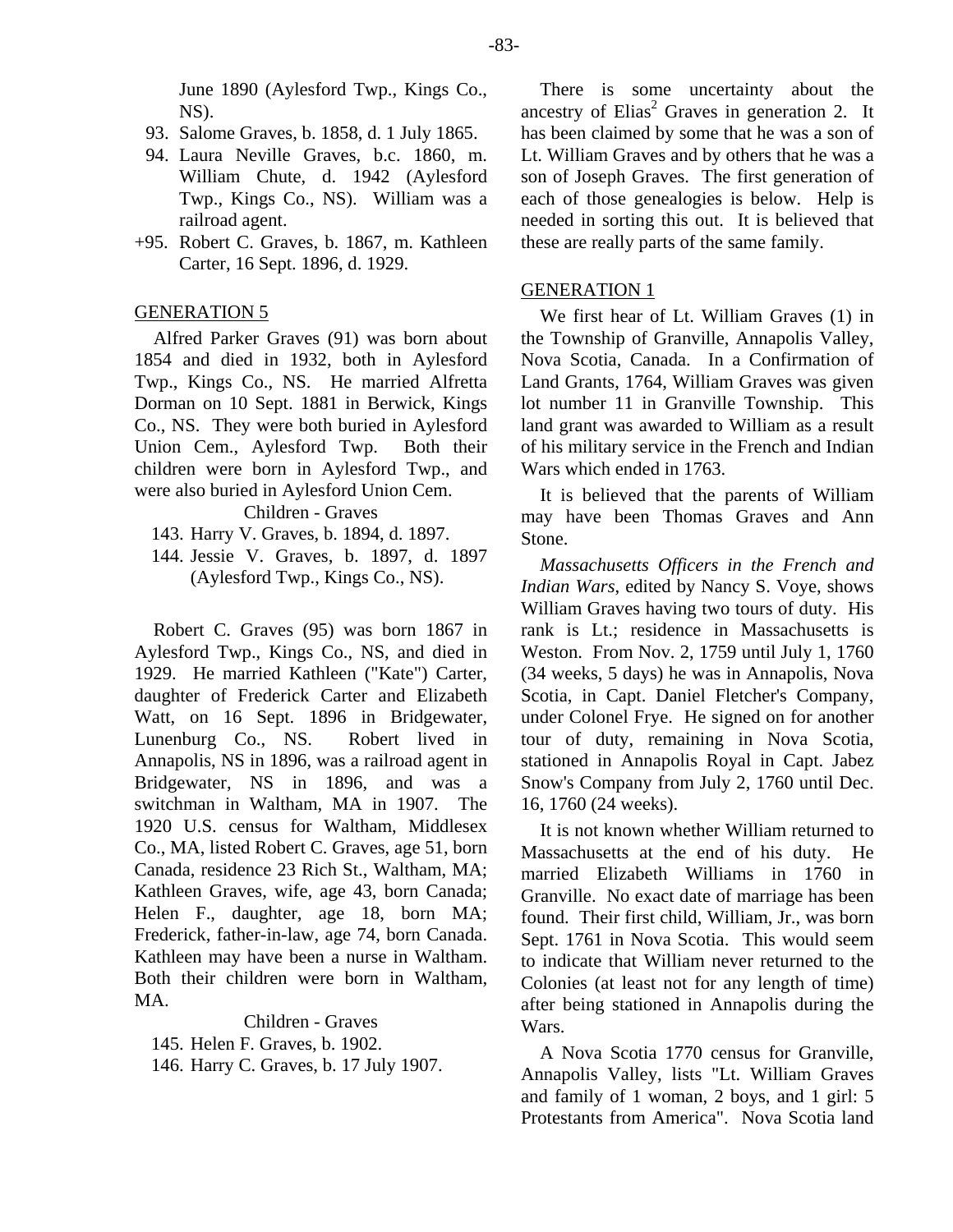June 1890 (Aylesford Twp., Kings Co., NS).

- 93. Salome Graves, b. 1858, d. 1 July 1865.
- 94. Laura Neville Graves, b.c. 1860, m. William Chute, d. 1942 (Aylesford Twp., Kings Co., NS). William was a railroad agent.
- +95. Robert C. Graves, b. 1867, m. Kathleen Carter, 16 Sept. 1896, d. 1929.

#### GENERATION 5

Alfred Parker Graves (91) was born about 1854 and died in 1932, both in Aylesford Twp., Kings Co., NS. He married Alfretta Dorman on 10 Sept. 1881 in Berwick, Kings Co., NS. They were both buried in Aylesford Union Cem., Aylesford Twp. Both their children were born in Aylesford Twp., and were also buried in Aylesford Union Cem.

Children - Graves

- 143. Harry V. Graves, b. 1894, d. 1897.
- 144. Jessie V. Graves, b. 1897, d. 1897 (Aylesford Twp., Kings Co., NS).

Robert C. Graves (95) was born 1867 in Aylesford Twp., Kings Co., NS, and died in 1929. He married Kathleen ("Kate") Carter, daughter of Frederick Carter and Elizabeth Watt, on 16 Sept. 1896 in Bridgewater, Lunenburg Co., NS. Robert lived in Annapolis, NS in 1896, was a railroad agent in Bridgewater, NS in 1896, and was a switchman in Waltham, MA in 1907. The 1920 U.S. census for Waltham, Middlesex Co., MA, listed Robert C. Graves, age 51, born Canada, residence 23 Rich St., Waltham, MA; Kathleen Graves, wife, age 43, born Canada; Helen F., daughter, age 18, born MA; Frederick, father-in-law, age 74, born Canada. Kathleen may have been a nurse in Waltham. Both their children were born in Waltham, MA.

Children - Graves 145. Helen F. Graves, b. 1902. 146. Harry C. Graves, b. 17 July 1907.

There is some uncertainty about the ancestry of Elias<sup>2</sup> Graves in generation 2. It has been claimed by some that he was a son of Lt. William Graves and by others that he was a son of Joseph Graves. The first generation of each of those genealogies is below. Help is needed in sorting this out. It is believed that these are really parts of the same family.

#### GENERATION 1

We first hear of Lt. William Graves (1) in the Township of Granville, Annapolis Valley, Nova Scotia, Canada. In a Confirmation of Land Grants, 1764, William Graves was given lot number 11 in Granville Township. This land grant was awarded to William as a result of his military service in the French and Indian Wars which ended in 1763.

It is believed that the parents of William may have been Thomas Graves and Ann Stone.

*Massachusetts Officers in the French and Indian Wars*, edited by Nancy S. Voye, shows William Graves having two tours of duty. His rank is Lt.; residence in Massachusetts is Weston. From Nov. 2, 1759 until July 1, 1760 (34 weeks, 5 days) he was in Annapolis, Nova Scotia, in Capt. Daniel Fletcher's Company, under Colonel Frye. He signed on for another tour of duty, remaining in Nova Scotia, stationed in Annapolis Royal in Capt. Jabez Snow's Company from July 2, 1760 until Dec. 16, 1760 (24 weeks).

It is not known whether William returned to Massachusetts at the end of his duty. He married Elizabeth Williams in 1760 in Granville. No exact date of marriage has been found. Their first child, William, Jr., was born Sept. 1761 in Nova Scotia. This would seem to indicate that William never returned to the Colonies (at least not for any length of time) after being stationed in Annapolis during the Wars.

A Nova Scotia 1770 census for Granville, Annapolis Valley, lists "Lt. William Graves and family of 1 woman, 2 boys, and 1 girl: 5 Protestants from America". Nova Scotia land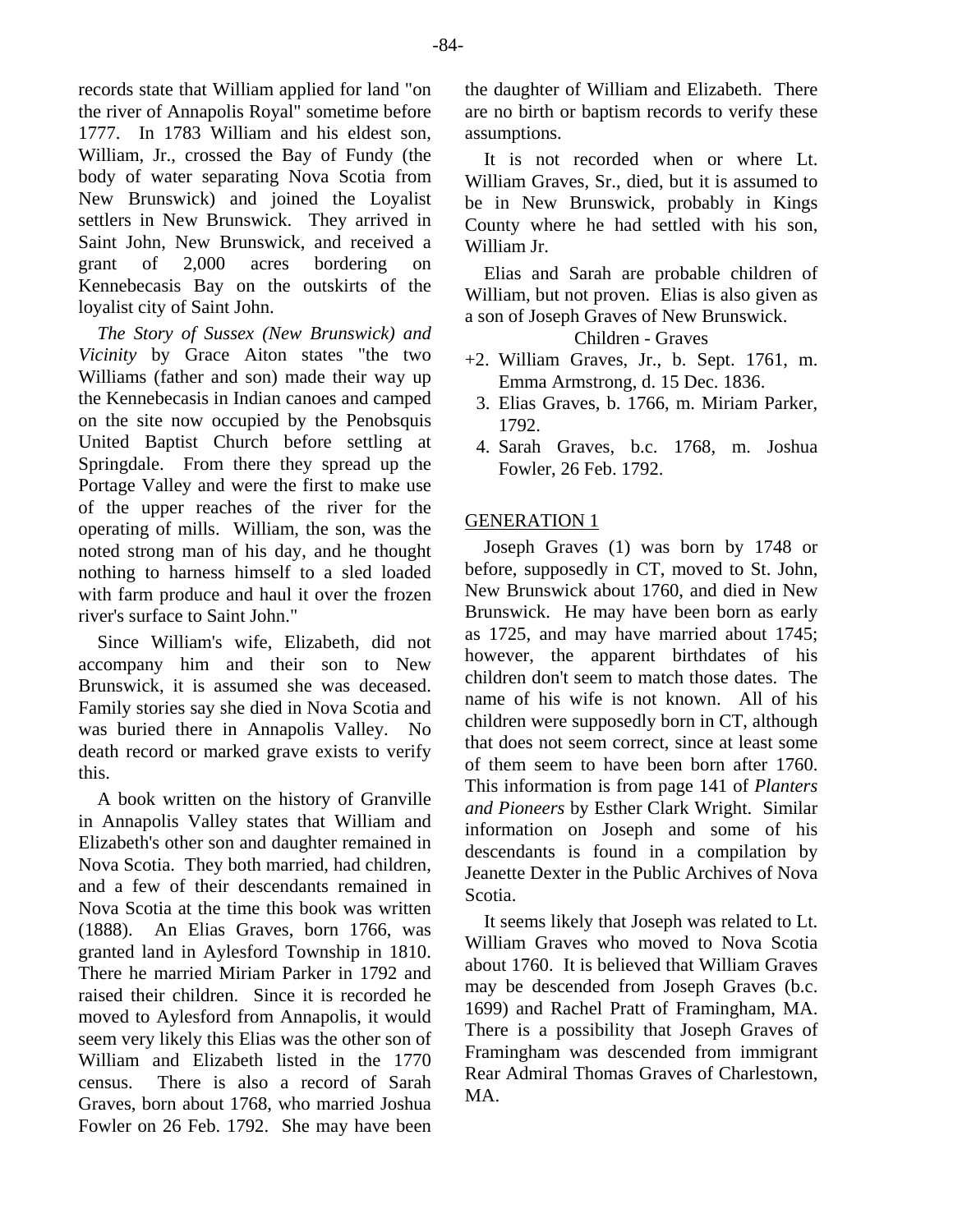records state that William applied for land "on the river of Annapolis Royal" sometime before 1777. In 1783 William and his eldest son, William, Jr., crossed the Bay of Fundy (the body of water separating Nova Scotia from New Brunswick) and joined the Loyalist settlers in New Brunswick. They arrived in Saint John, New Brunswick, and received a grant of 2,000 acres bordering on Kennebecasis Bay on the outskirts of the loyalist city of Saint John.

*The Story of Sussex (New Brunswick) and Vicinity* by Grace Aiton states "the two Williams (father and son) made their way up the Kennebecasis in Indian canoes and camped on the site now occupied by the Penobsquis United Baptist Church before settling at Springdale. From there they spread up the Portage Valley and were the first to make use of the upper reaches of the river for the operating of mills. William, the son, was the noted strong man of his day, and he thought nothing to harness himself to a sled loaded with farm produce and haul it over the frozen river's surface to Saint John."

Since William's wife, Elizabeth, did not accompany him and their son to New Brunswick, it is assumed she was deceased. Family stories say she died in Nova Scotia and was buried there in Annapolis Valley. No death record or marked grave exists to verify this.

A book written on the history of Granville in Annapolis Valley states that William and Elizabeth's other son and daughter remained in Nova Scotia. They both married, had children, and a few of their descendants remained in Nova Scotia at the time this book was written (1888). An Elias Graves, born 1766, was granted land in Aylesford Township in 1810. There he married Miriam Parker in 1792 and raised their children. Since it is recorded he moved to Aylesford from Annapolis, it would seem very likely this Elias was the other son of William and Elizabeth listed in the 1770 census. There is also a record of Sarah Graves, born about 1768, who married Joshua Fowler on 26 Feb. 1792. She may have been

the daughter of William and Elizabeth. There are no birth or baptism records to verify these assumptions.

It is not recorded when or where Lt. William Graves, Sr., died, but it is assumed to be in New Brunswick, probably in Kings County where he had settled with his son, William Jr.

Elias and Sarah are probable children of William, but not proven. Elias is also given as a son of Joseph Graves of New Brunswick.

Children - Graves

- +2. William Graves, Jr., b. Sept. 1761, m. Emma Armstrong, d. 15 Dec. 1836.
	- 3. Elias Graves, b. 1766, m. Miriam Parker, 1792.
	- 4. Sarah Graves, b.c. 1768, m. Joshua Fowler, 26 Feb. 1792.

# **GENERATION 1**

Joseph Graves (1) was born by 1748 or before, supposedly in CT, moved to St. John, New Brunswick about 1760, and died in New Brunswick. He may have been born as early as 1725, and may have married about 1745; however, the apparent birthdates of his children don't seem to match those dates. The name of his wife is not known. All of his children were supposedly born in CT, although that does not seem correct, since at least some of them seem to have been born after 1760. This information is from page 141 of *Planters and Pioneers* by Esther Clark Wright. Similar information on Joseph and some of his descendants is found in a compilation by Jeanette Dexter in the Public Archives of Nova Scotia.

It seems likely that Joseph was related to Lt. William Graves who moved to Nova Scotia about 1760. It is believed that William Graves may be descended from Joseph Graves (b.c. 1699) and Rachel Pratt of Framingham, MA. There is a possibility that Joseph Graves of Framingham was descended from immigrant Rear Admiral Thomas Graves of Charlestown, MA.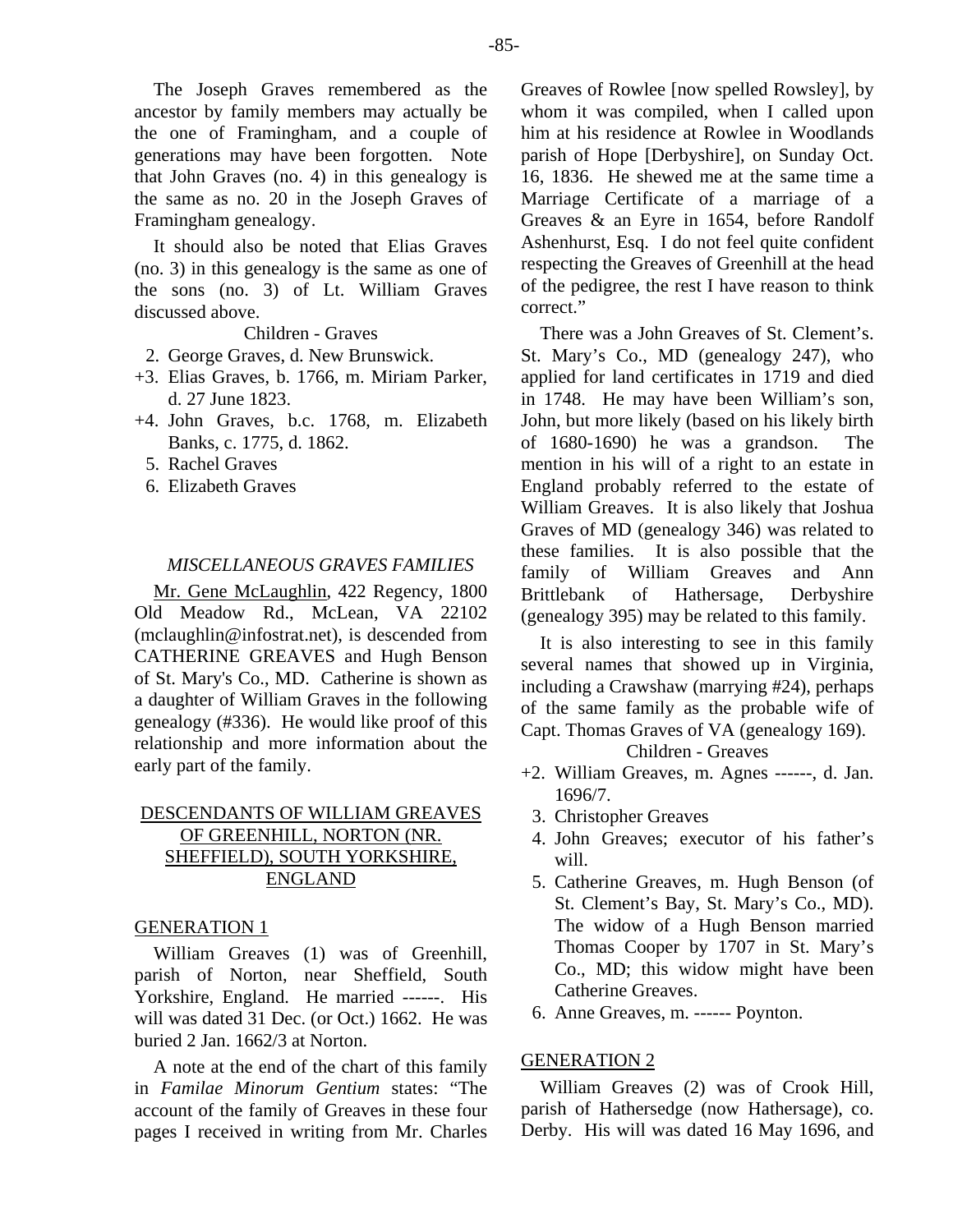The Joseph Graves remembered as the ancestor by family members may actually be the one of Framingham, and a couple of generations may have been forgotten. Note that John Graves (no. 4) in this genealogy is the same as no. 20 in the Joseph Graves of Framingham genealogy.

It should also be noted that Elias Graves (no. 3) in this genealogy is the same as one of the sons (no. 3) of Lt. William Graves discussed above.

Children - Graves

2. George Graves, d. New Brunswick.

- +3. Elias Graves, b. 1766, m. Miriam Parker, d. 27 June 1823.
- +4. John Graves, b.c. 1768, m. Elizabeth Banks, c. 1775, d. 1862.
	- 5. Rachel Graves
	- 6. Elizabeth Graves

#### *MISCELLANEOUS GRAVES FAMILIES*

Mr. Gene McLaughlin, 422 Regency, 1800 Old Meadow Rd., McLean, VA 22102 (mclaughlin@infostrat.net), is descended from CATHERINE GREAVES and Hugh Benson of St. Mary's Co., MD. Catherine is shown as a daughter of William Graves in the following genealogy (#336). He would like proof of this relationship and more information about the early part of the family.

# DESCENDANTS OF WILLIAM GREAVES OF GREENHILL, NORTON (NR. SHEFFIELD), SOUTH YORKSHIRE, ENGLAND

#### GENERATION 1

William Greaves (1) was of Greenhill, parish of Norton, near Sheffield, South Yorkshire, England. He married ------. His will was dated 31 Dec. (or Oct.) 1662. He was buried 2 Jan. 1662/3 at Norton.

A note at the end of the chart of this family in *Familae Minorum Gentium* states: "The account of the family of Greaves in these four pages I received in writing from Mr. Charles Greaves of Rowlee [now spelled Rowsley], by whom it was compiled, when I called upon him at his residence at Rowlee in Woodlands parish of Hope [Derbyshire], on Sunday Oct. 16, 1836. He shewed me at the same time a Marriage Certificate of a marriage of a Greaves & an Eyre in 1654, before Randolf Ashenhurst, Esq. I do not feel quite confident respecting the Greaves of Greenhill at the head of the pedigree, the rest I have reason to think correct."

There was a John Greaves of St. Clement's. St. Mary's Co., MD (genealogy 247), who applied for land certificates in 1719 and died in 1748. He may have been William's son, John, but more likely (based on his likely birth of 1680-1690) he was a grandson. The mention in his will of a right to an estate in England probably referred to the estate of William Greaves. It is also likely that Joshua Graves of MD (genealogy 346) was related to these families. It is also possible that the family of William Greaves and Ann Brittlebank of Hathersage, Derbyshire (genealogy 395) may be related to this family.

It is also interesting to see in this family several names that showed up in Virginia, including a Crawshaw (marrying #24), perhaps of the same family as the probable wife of Capt. Thomas Graves of VA (genealogy 169).

#### Children - Greaves

- +2. William Greaves, m. Agnes ------, d. Jan. 1696/7.
	- 3. Christopher Greaves
	- 4. John Greaves; executor of his father's will.
	- 5. Catherine Greaves, m. Hugh Benson (of St. Clement's Bay, St. Mary's Co., MD). The widow of a Hugh Benson married Thomas Cooper by 1707 in St. Mary's Co., MD; this widow might have been Catherine Greaves.
	- 6. Anne Greaves, m. ------ Poynton.

### GENERATION 2

William Greaves (2) was of Crook Hill, parish of Hathersedge (now Hathersage), co. Derby. His will was dated 16 May 1696, and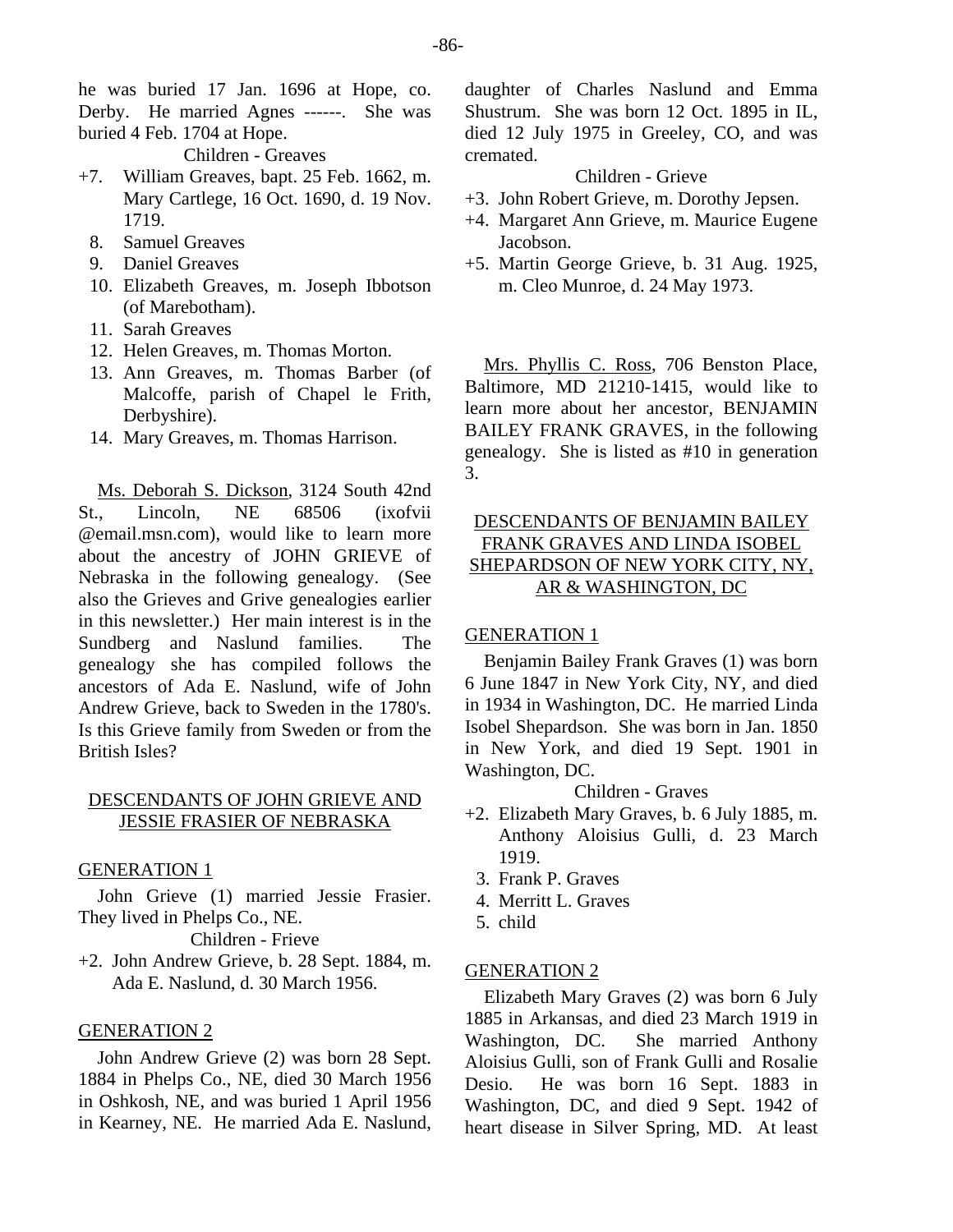he was buried 17 Jan. 1696 at Hope, co. Derby. He married Agnes ------. She was buried 4 Feb. 1704 at Hope.

Children - Greaves

- +7. William Greaves, bapt. 25 Feb. 1662, m. Mary Cartlege, 16 Oct. 1690, d. 19 Nov. 1719.
	- 8. Samuel Greaves
	- 9. Daniel Greaves
	- 10. Elizabeth Greaves, m. Joseph Ibbotson (of Marebotham).
	- 11. Sarah Greaves
	- 12. Helen Greaves, m. Thomas Morton.
	- 13. Ann Greaves, m. Thomas Barber (of Malcoffe, parish of Chapel le Frith, Derbyshire).
	- 14. Mary Greaves, m. Thomas Harrison.

Ms. Deborah S. Dickson, 3124 South 42nd St., Lincoln, NE 68506 (ixofvii @email.msn.com), would like to learn more about the ancestry of JOHN GRIEVE of Nebraska in the following genealogy. (See also the Grieves and Grive genealogies earlier in this newsletter.) Her main interest is in the Sundberg and Naslund families. The genealogy she has compiled follows the ancestors of Ada E. Naslund, wife of John Andrew Grieve, back to Sweden in the 1780's. Is this Grieve family from Sweden or from the British Isles?

#### DESCENDANTS OF JOHN GRIEVE AND JESSIE FRASIER OF NEBRASKA

#### GENERATION 1

John Grieve (1) married Jessie Frasier. They lived in Phelps Co., NE.

Children - Frieve

+2. John Andrew Grieve, b. 28 Sept. 1884, m. Ada E. Naslund, d. 30 March 1956.

#### GENERATION 2

John Andrew Grieve (2) was born 28 Sept. 1884 in Phelps Co., NE, died 30 March 1956 in Oshkosh, NE, and was buried 1 April 1956 in Kearney, NE. He married Ada E. Naslund,

daughter of Charles Naslund and Emma Shustrum. She was born 12 Oct. 1895 in IL, died 12 July 1975 in Greeley, CO, and was cremated.

# Children - Grieve

- +3. John Robert Grieve, m. Dorothy Jepsen.
- +4. Margaret Ann Grieve, m. Maurice Eugene Jacobson.
- +5. Martin George Grieve, b. 31 Aug. 1925, m. Cleo Munroe, d. 24 May 1973.

Mrs. Phyllis C. Ross, 706 Benston Place, Baltimore, MD 21210-1415, would like to learn more about her ancestor, BENJAMIN BAILEY FRANK GRAVES, in the following genealogy. She is listed as #10 in generation 3.

# DESCENDANTS OF BENJAMIN BAILEY FRANK GRAVES AND LINDA ISOBEL SHEPARDSON OF NEW YORK CITY, NY, AR & WASHINGTON, DC

### GENERATION 1

Benjamin Bailey Frank Graves (1) was born 6 June 1847 in New York City, NY, and died in 1934 in Washington, DC. He married Linda Isobel Shepardson. She was born in Jan. 1850 in New York, and died 19 Sept. 1901 in Washington, DC.

Children - Graves

- +2. Elizabeth Mary Graves, b. 6 July 1885, m. Anthony Aloisius Gulli, d. 23 March 1919.
	- 3. Frank P. Graves
	- 4. Merritt L. Graves
- 5. child

# GENERATION 2

Elizabeth Mary Graves (2) was born 6 July 1885 in Arkansas, and died 23 March 1919 in<br>Washington, DC. She married Anthony She married Anthony Aloisius Gulli, son of Frank Gulli and Rosalie Desio. He was born 16 Sept. 1883 in Washington, DC, and died 9 Sept. 1942 of heart disease in Silver Spring, MD. At least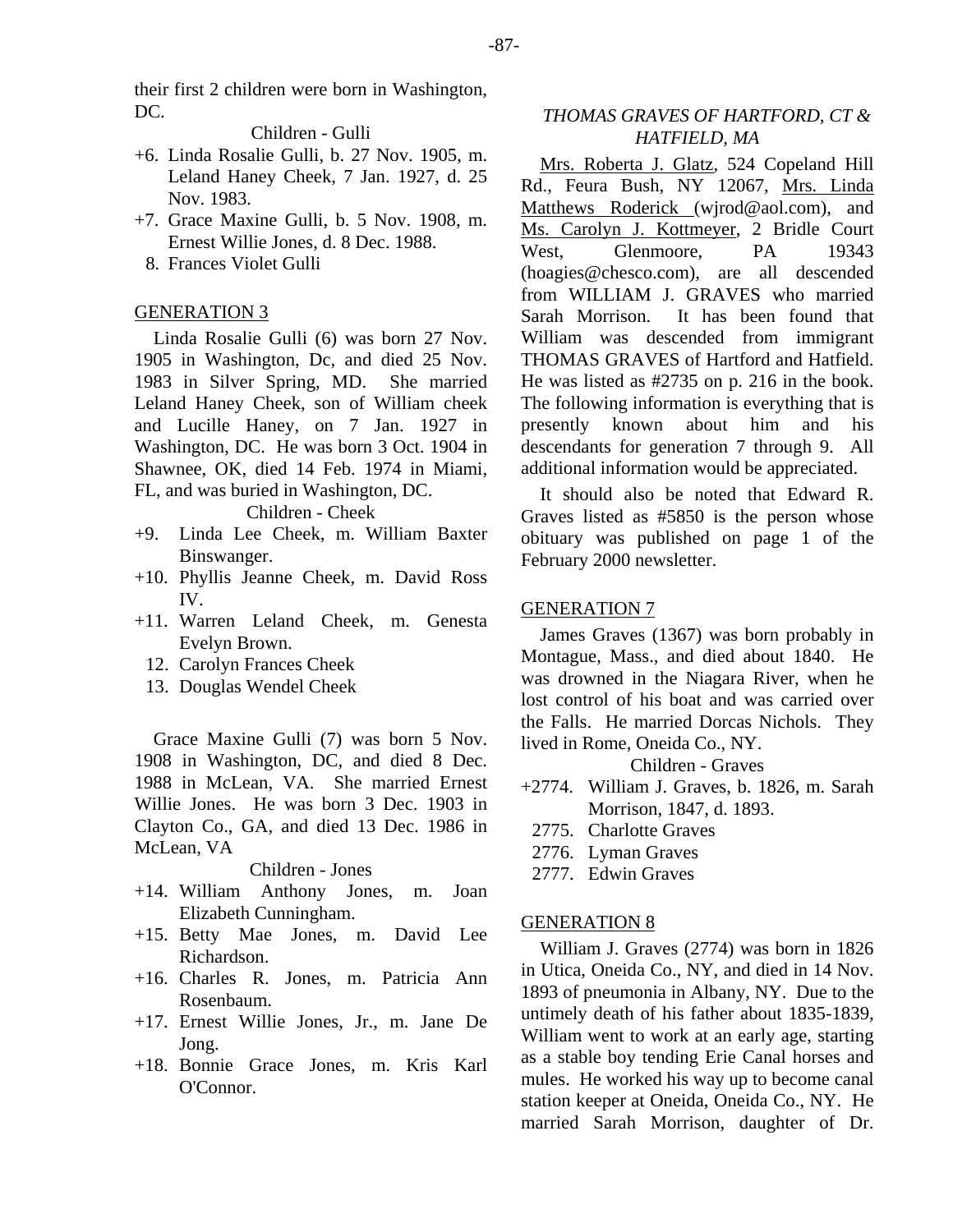their first 2 children were born in Washington, DC.

Children - Gulli

- +6. Linda Rosalie Gulli, b. 27 Nov. 1905, m. Leland Haney Cheek, 7 Jan. 1927, d. 25 Nov. 1983.
- +7. Grace Maxine Gulli, b. 5 Nov. 1908, m. Ernest Willie Jones, d. 8 Dec. 1988.
	- 8. Frances Violet Gulli

#### GENERATION 3

Linda Rosalie Gulli (6) was born 27 Nov. 1905 in Washington, Dc, and died 25 Nov. 1983 in Silver Spring, MD. She married Leland Haney Cheek, son of William cheek and Lucille Haney, on 7 Jan. 1927 in Washington, DC. He was born 3 Oct. 1904 in Shawnee, OK, died 14 Feb. 1974 in Miami, FL, and was buried in Washington, DC.

Children - Cheek

- +9. Linda Lee Cheek, m. William Baxter Binswanger.
- +10. Phyllis Jeanne Cheek, m. David Ross IV.
- +11. Warren Leland Cheek, m. Genesta Evelyn Brown.
	- 12. Carolyn Frances Cheek
	- 13. Douglas Wendel Cheek

Grace Maxine Gulli (7) was born 5 Nov. 1908 in Washington, DC, and died 8 Dec. 1988 in McLean, VA. She married Ernest Willie Jones. He was born 3 Dec. 1903 in Clayton Co., GA, and died 13 Dec. 1986 in McLean, VA

#### Children - Jones

- +14. William Anthony Jones, m. Joan Elizabeth Cunningham.
- +15. Betty Mae Jones, m. David Lee Richardson.
- +16. Charles R. Jones, m. Patricia Ann Rosenbaum.
- +17. Ernest Willie Jones, Jr., m. Jane De Jong.
- +18. Bonnie Grace Jones, m. Kris Karl O'Connor.

### *THOMAS GRAVES OF HARTFORD, CT & HATFIELD, MA*

Mrs. Roberta J. Glatz, 524 Copeland Hill Rd., Feura Bush, NY 12067, Mrs. Linda Matthews Roderick (wjrod@aol.com), and Ms. Carolyn J. Kottmeyer, 2 Bridle Court West. Glenmoore, PA 19343 (hoagies@chesco.com), are all descended from WILLIAM J. GRAVES who married Sarah Morrison. It has been found that William was descended from immigrant THOMAS GRAVES of Hartford and Hatfield. He was listed as #2735 on p. 216 in the book. The following information is everything that is presently known about him and his descendants for generation 7 through 9. All additional information would be appreciated.

It should also be noted that Edward R. Graves listed as #5850 is the person whose obituary was published on page 1 of the February 2000 newsletter.

#### GENERATION 7

James Graves (1367) was born probably in Montague, Mass., and died about 1840. He was drowned in the Niagara River, when he lost control of his boat and was carried over the Falls. He married Dorcas Nichols. They lived in Rome, Oneida Co., NY.

Children - Graves

- +2774. William J. Graves, b. 1826, m. Sarah Morrison, 1847, d. 1893.
- 2775. Charlotte Graves
- 2776. Lyman Graves
- 2777. Edwin Graves

#### GENERATION 8

William J. Graves (2774) was born in 1826 in Utica, Oneida Co., NY, and died in 14 Nov. 1893 of pneumonia in Albany, NY. Due to the untimely death of his father about 1835-1839, William went to work at an early age, starting as a stable boy tending Erie Canal horses and mules. He worked his way up to become canal station keeper at Oneida, Oneida Co., NY. He married Sarah Morrison, daughter of Dr.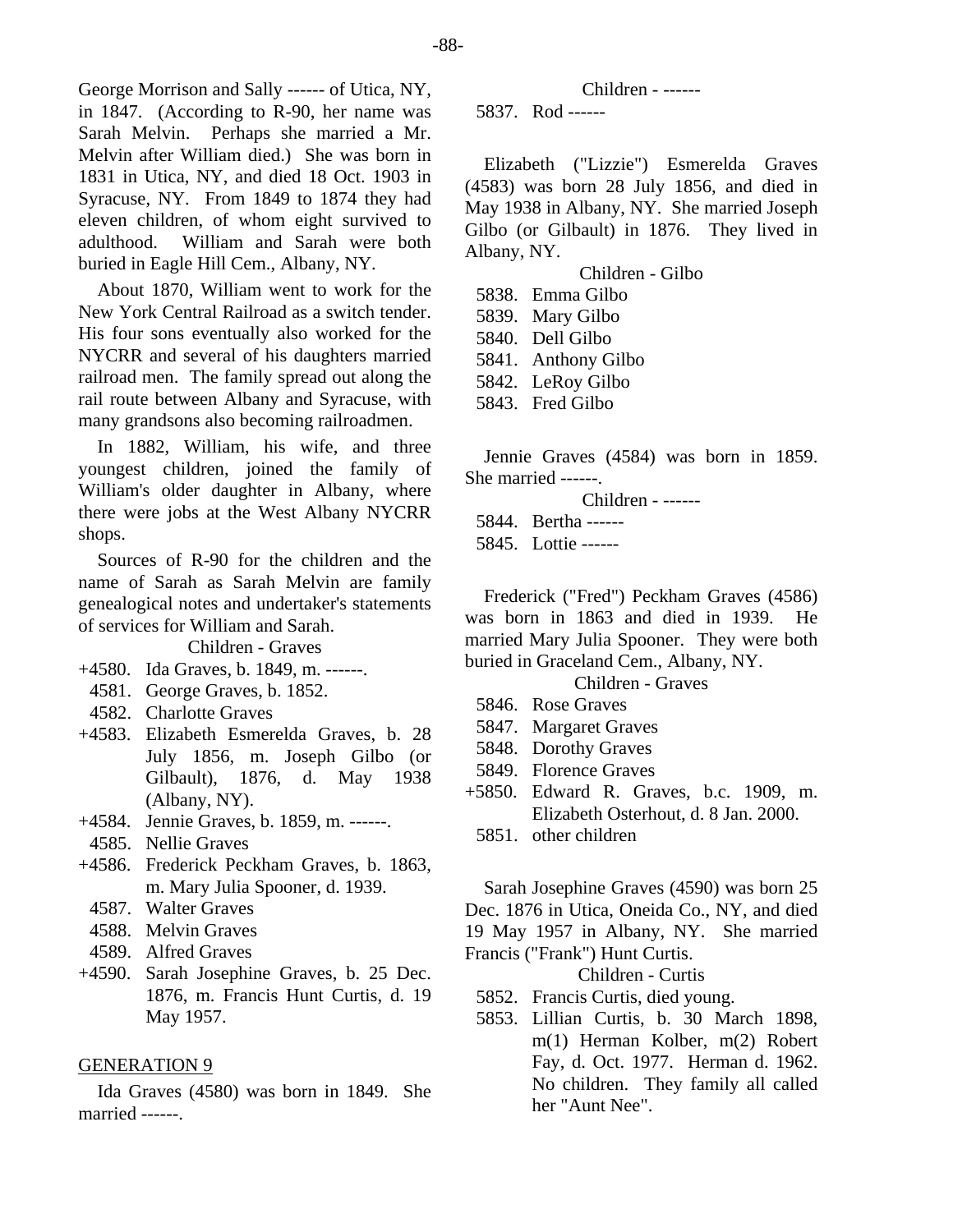George Morrison and Sally ------ of Utica, NY, in 1847. (According to R-90, her name was Sarah Melvin. Perhaps she married a Mr. Melvin after William died.) She was born in 1831 in Utica, NY, and died 18 Oct. 1903 in Syracuse, NY. From 1849 to 1874 they had eleven children, of whom eight survived to adulthood. William and Sarah were both buried in Eagle Hill Cem., Albany, NY.

About 1870, William went to work for the New York Central Railroad as a switch tender. His four sons eventually also worked for the NYCRR and several of his daughters married railroad men. The family spread out along the rail route between Albany and Syracuse, with many grandsons also becoming railroadmen.

In 1882, William, his wife, and three youngest children, joined the family of William's older daughter in Albany, where there were jobs at the West Albany NYCRR shops.

Sources of R-90 for the children and the name of Sarah as Sarah Melvin are family genealogical notes and undertaker's statements of services for William and Sarah.

Children - Graves

- +4580. Ida Graves, b. 1849, m. ------.
- 4581. George Graves, b. 1852.
- 4582. Charlotte Graves
- +4583. Elizabeth Esmerelda Graves, b. 28 July 1856, m. Joseph Gilbo (or Gilbault), 1876, d. May 1938 (Albany, NY).
- +4584. Jennie Graves, b. 1859, m. ------.
- 4585. Nellie Graves
- +4586. Frederick Peckham Graves, b. 1863, m. Mary Julia Spooner, d. 1939.
- 4587. Walter Graves
- 4588. Melvin Graves
- 4589. Alfred Graves
- +4590. Sarah Josephine Graves, b. 25 Dec. 1876, m. Francis Hunt Curtis, d. 19 May 1957.

#### GENERATION 9

Ida Graves (4580) was born in 1849. She married ------.

Children - ------

5837. Rod ------

Elizabeth ("Lizzie") Esmerelda Graves (4583) was born 28 July 1856, and died in May 1938 in Albany, NY. She married Joseph Gilbo (or Gilbault) in 1876. They lived in Albany, NY.

Children - Gilbo

- 5838. Emma Gilbo
- 5839. Mary Gilbo
- 5840. Dell Gilbo
- 5841. Anthony Gilbo
- 5842. LeRoy Gilbo
- 5843. Fred Gilbo

Jennie Graves (4584) was born in 1859. She married ------.

Children - ------

5844. Bertha ------

5845. Lottie ------

Frederick ("Fred") Peckham Graves (4586) was born in 1863 and died in 1939. He married Mary Julia Spooner. They were both buried in Graceland Cem., Albany, NY.

#### Children - Graves

- 5846. Rose Graves
- 5847. Margaret Graves
- 5848. Dorothy Graves
- 5849. Florence Graves
- +5850. Edward R. Graves, b.c. 1909, m. Elizabeth Osterhout, d. 8 Jan. 2000.
	- 5851. other children

Sarah Josephine Graves (4590) was born 25 Dec. 1876 in Utica, Oneida Co., NY, and died 19 May 1957 in Albany, NY. She married Francis ("Frank") Hunt Curtis.

Children - Curtis

- 5852. Francis Curtis, died young.
- 5853. Lillian Curtis, b. 30 March 1898, m(1) Herman Kolber, m(2) Robert Fay, d. Oct. 1977. Herman d. 1962. No children. They family all called her "Aunt Nee".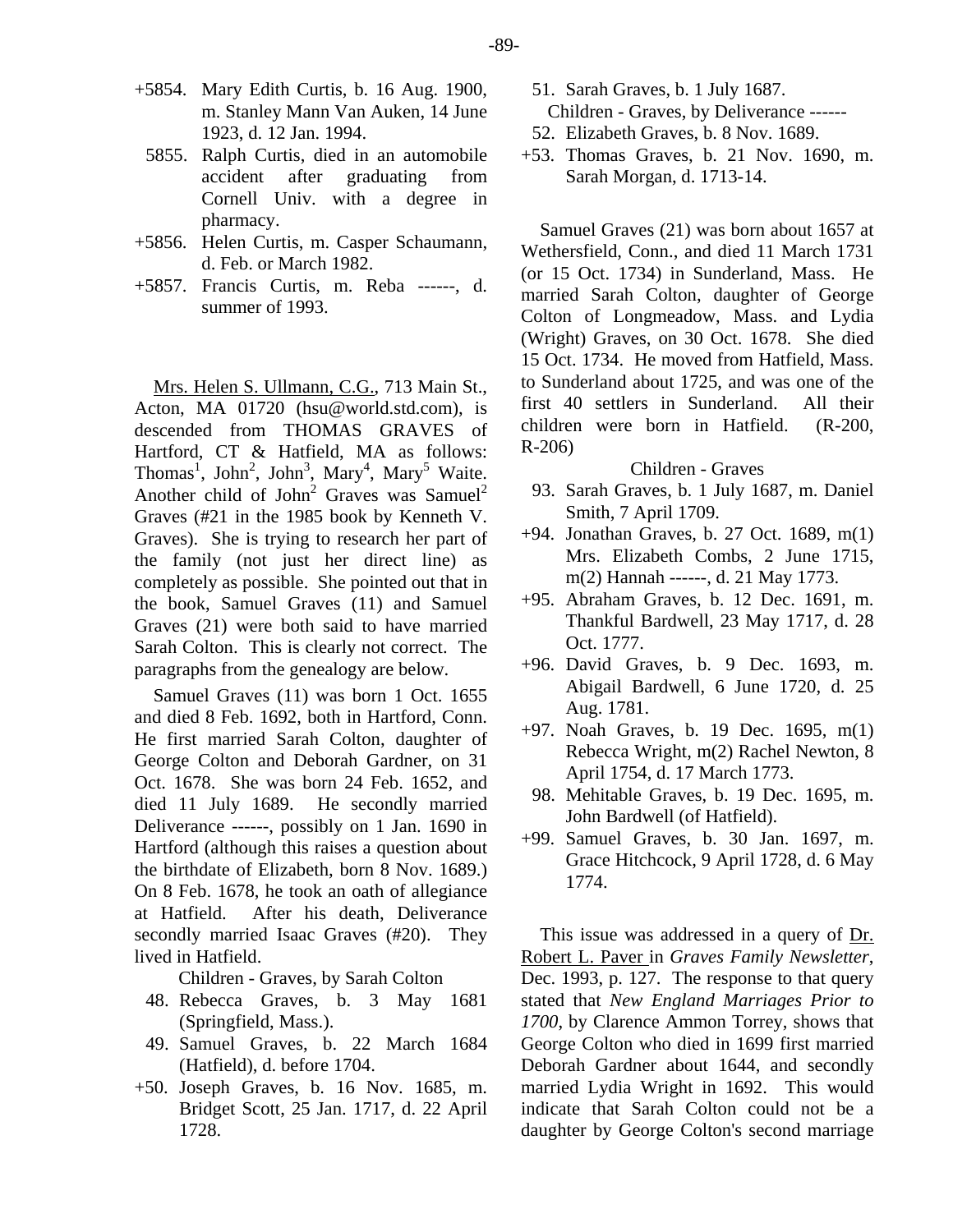- +5854. Mary Edith Curtis, b. 16 Aug. 1900, m. Stanley Mann Van Auken, 14 June 1923, d. 12 Jan. 1994.
- 5855. Ralph Curtis, died in an automobile accident after graduating from Cornell Univ. with a degree in pharmacy.
- +5856. Helen Curtis, m. Casper Schaumann, d. Feb. or March 1982.
- +5857. Francis Curtis, m. Reba ------, d. summer of 1993.

Mrs. Helen S. Ullmann, C.G., 713 Main St., Acton, MA 01720 (hsu@world.std.com), is descended from THOMAS GRAVES of Hartford, CT & Hatfield, MA as follows: Thomas<sup>1</sup>, John<sup>2</sup>, John<sup>3</sup>, Mary<sup>4</sup>, Mary<sup>5</sup> Waite. Another child of John<sup>2</sup> Graves was Samuel<sup>2</sup> Graves (#21 in the 1985 book by Kenneth V. Graves). She is trying to research her part of the family (not just her direct line) as completely as possible. She pointed out that in the book, Samuel Graves (11) and Samuel Graves (21) were both said to have married Sarah Colton. This is clearly not correct. The paragraphs from the genealogy are below.

Samuel Graves (11) was born 1 Oct. 1655 and died 8 Feb. 1692, both in Hartford, Conn. He first married Sarah Colton, daughter of George Colton and Deborah Gardner, on 31 Oct. 1678. She was born 24 Feb. 1652, and died 11 July 1689. He secondly married Deliverance ------, possibly on 1 Jan. 1690 in Hartford (although this raises a question about the birthdate of Elizabeth, born 8 Nov. 1689.) On 8 Feb. 1678, he took an oath of allegiance at Hatfield. After his death, Deliverance secondly married Isaac Graves (#20). They lived in Hatfield.

Children - Graves, by Sarah Colton

- 48. Rebecca Graves, b. 3 May 1681 (Springfield, Mass.).
- 49. Samuel Graves, b. 22 March 1684 (Hatfield), d. before 1704.
- +50. Joseph Graves, b. 16 Nov. 1685, m. Bridget Scott, 25 Jan. 1717, d. 22 April 1728.
- 51. Sarah Graves, b. 1 July 1687.
- Children Graves, by Deliverance ------
- 52. Elizabeth Graves, b. 8 Nov. 1689.
- +53. Thomas Graves, b. 21 Nov. 1690, m. Sarah Morgan, d. 1713-14.

Samuel Graves (21) was born about 1657 at Wethersfield, Conn., and died 11 March 1731 (or 15 Oct. 1734) in Sunderland, Mass. He married Sarah Colton, daughter of George Colton of Longmeadow, Mass. and Lydia (Wright) Graves, on 30 Oct. 1678. She died 15 Oct. 1734. He moved from Hatfield, Mass. to Sunderland about 1725, and was one of the first 40 settlers in Sunderland. All their children were born in Hatfield. (R-200, R-206)

#### Children - Graves

- 93. Sarah Graves, b. 1 July 1687, m. Daniel Smith, 7 April 1709.
- +94. Jonathan Graves, b. 27 Oct. 1689, m(1) Mrs. Elizabeth Combs, 2 June 1715, m(2) Hannah ------, d. 21 May 1773.
- +95. Abraham Graves, b. 12 Dec. 1691, m. Thankful Bardwell, 23 May 1717, d. 28 Oct. 1777.
- +96. David Graves, b. 9 Dec. 1693, m. Abigail Bardwell, 6 June 1720, d. 25 Aug. 1781.
- +97. Noah Graves, b. 19 Dec. 1695, m(1) Rebecca Wright, m(2) Rachel Newton, 8 April 1754, d. 17 March 1773.
- 98. Mehitable Graves, b. 19 Dec. 1695, m. John Bardwell (of Hatfield).
- +99. Samuel Graves, b. 30 Jan. 1697, m. Grace Hitchcock, 9 April 1728, d. 6 May 1774.

This issue was addressed in a query of Dr. Robert L. Paver in *Graves Family Newsletter*, Dec. 1993, p. 127. The response to that query stated that *New England Marriages Prior to 1700*, by Clarence Ammon Torrey, shows that George Colton who died in 1699 first married Deborah Gardner about 1644, and secondly married Lydia Wright in 1692. This would indicate that Sarah Colton could not be a daughter by George Colton's second marriage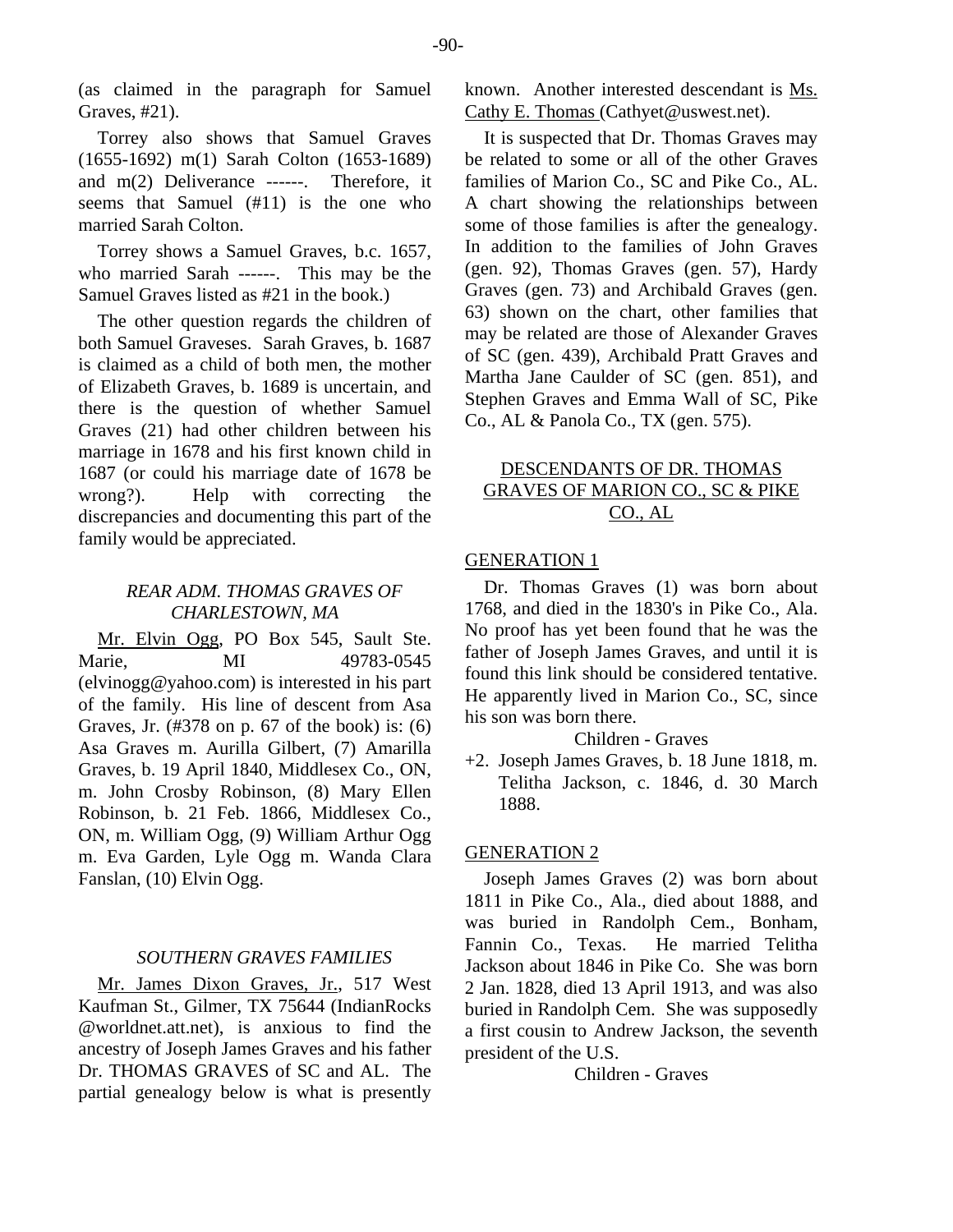(as claimed in the paragraph for Samuel Graves, #21).

Torrey also shows that Samuel Graves (1655-1692) m(1) Sarah Colton (1653-1689) and m(2) Deliverance ------. Therefore, it seems that Samuel (#11) is the one who married Sarah Colton.

Torrey shows a Samuel Graves, b.c. 1657, who married Sarah ------. This may be the Samuel Graves listed as #21 in the book.)

The other question regards the children of both Samuel Graveses. Sarah Graves, b. 1687 is claimed as a child of both men, the mother of Elizabeth Graves, b. 1689 is uncertain, and there is the question of whether Samuel Graves (21) had other children between his marriage in 1678 and his first known child in 1687 (or could his marriage date of 1678 be wrong?). Help with correcting the discrepancies and documenting this part of the family would be appreciated.

# *REAR ADM. THOMAS GRAVES OF CHARLESTOWN, MA*

Mr. Elvin Ogg, PO Box 545, Sault Ste. Marie, MI 49783-0545 (elvinogg@yahoo.com) is interested in his part of the family. His line of descent from Asa Graves, Jr. (#378 on p. 67 of the book) is: (6) Asa Graves m. Aurilla Gilbert, (7) Amarilla Graves, b. 19 April 1840, Middlesex Co., ON, m. John Crosby Robinson, (8) Mary Ellen Robinson, b. 21 Feb. 1866, Middlesex Co., ON, m. William Ogg, (9) William Arthur Ogg m. Eva Garden, Lyle Ogg m. Wanda Clara Fanslan, (10) Elvin Ogg.

#### *SOUTHERN GRAVES FAMILIES*

Mr. James Dixon Graves, Jr., 517 West Kaufman St., Gilmer, TX 75644 (IndianRocks @worldnet.att.net), is anxious to find the ancestry of Joseph James Graves and his father Dr. THOMAS GRAVES of SC and AL. The partial genealogy below is what is presently

known. Another interested descendant is Ms. Cathy E. Thomas (Cathyet@uswest.net).

It is suspected that Dr. Thomas Graves may be related to some or all of the other Graves families of Marion Co., SC and Pike Co., AL. A chart showing the relationships between some of those families is after the genealogy. In addition to the families of John Graves (gen. 92), Thomas Graves (gen. 57), Hardy Graves (gen. 73) and Archibald Graves (gen. 63) shown on the chart, other families that may be related are those of Alexander Graves of SC (gen. 439), Archibald Pratt Graves and Martha Jane Caulder of SC (gen. 851), and Stephen Graves and Emma Wall of SC, Pike Co., AL & Panola Co., TX (gen. 575).

# DESCENDANTS OF DR. THOMAS GRAVES OF MARION CO., SC & PIKE CO., AL

#### GENERATION 1

Dr. Thomas Graves (1) was born about 1768, and died in the 1830's in Pike Co., Ala. No proof has yet been found that he was the father of Joseph James Graves, and until it is found this link should be considered tentative. He apparently lived in Marion Co., SC, since his son was born there.

# Children - Graves

+2. Joseph James Graves, b. 18 June 1818, m. Telitha Jackson, c. 1846, d. 30 March 1888.

#### GENERATION 2

Joseph James Graves (2) was born about 1811 in Pike Co., Ala., died about 1888, and was buried in Randolph Cem., Bonham, Fannin Co., Texas. He married Telitha Jackson about 1846 in Pike Co. She was born 2 Jan. 1828, died 13 April 1913, and was also buried in Randolph Cem. She was supposedly a first cousin to Andrew Jackson, the seventh president of the U.S.

Children - Graves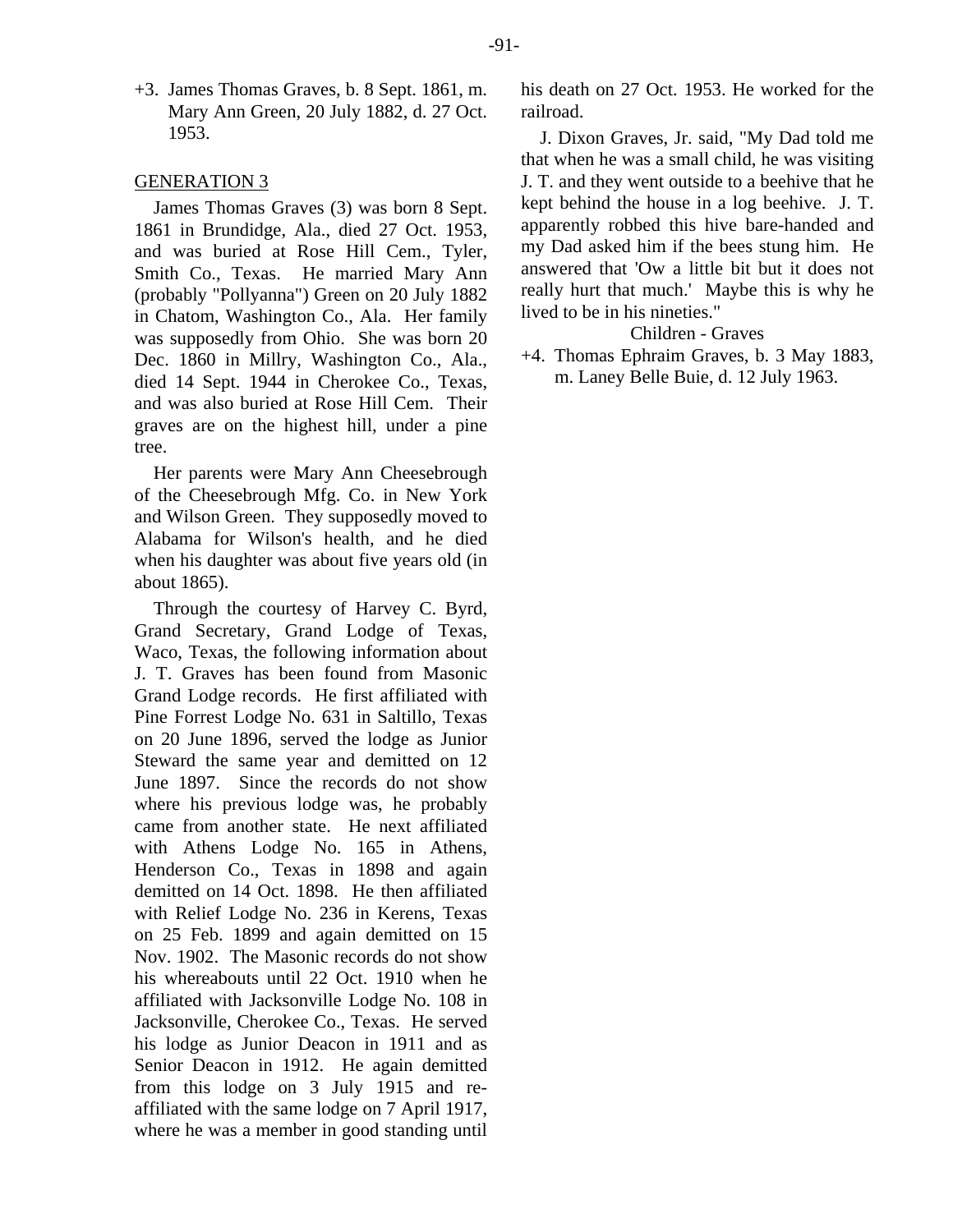+3. James Thomas Graves, b. 8 Sept. 1861, m. Mary Ann Green, 20 July 1882, d. 27 Oct. 1953.

#### GENERATION 3

James Thomas Graves (3) was born 8 Sept. 1861 in Brundidge, Ala., died 27 Oct. 1953, and was buried at Rose Hill Cem., Tyler, Smith Co., Texas. He married Mary Ann (probably "Pollyanna") Green on 20 July 1882 in Chatom, Washington Co., Ala. Her family was supposedly from Ohio. She was born 20 Dec. 1860 in Millry, Washington Co., Ala., died 14 Sept. 1944 in Cherokee Co., Texas, and was also buried at Rose Hill Cem. Their graves are on the highest hill, under a pine tree.

Her parents were Mary Ann Cheesebrough of the Cheesebrough Mfg. Co. in New York and Wilson Green. They supposedly moved to Alabama for Wilson's health, and he died when his daughter was about five years old (in about 1865).

Through the courtesy of Harvey C. Byrd, Grand Secretary, Grand Lodge of Texas, Waco, Texas, the following information about J. T. Graves has been found from Masonic Grand Lodge records. He first affiliated with Pine Forrest Lodge No. 631 in Saltillo, Texas on 20 June 1896, served the lodge as Junior Steward the same year and demitted on 12 June 1897. Since the records do not show where his previous lodge was, he probably came from another state. He next affiliated with Athens Lodge No. 165 in Athens, Henderson Co., Texas in 1898 and again demitted on 14 Oct. 1898. He then affiliated with Relief Lodge No. 236 in Kerens, Texas on 25 Feb. 1899 and again demitted on 15 Nov. 1902. The Masonic records do not show his whereabouts until 22 Oct. 1910 when he affiliated with Jacksonville Lodge No. 108 in Jacksonville, Cherokee Co., Texas. He served his lodge as Junior Deacon in 1911 and as Senior Deacon in 1912. He again demitted from this lodge on 3 July 1915 and reaffiliated with the same lodge on 7 April 1917, where he was a member in good standing until his death on 27 Oct. 1953. He worked for the railroad.

J. Dixon Graves, Jr. said, "My Dad told me that when he was a small child, he was visiting J. T. and they went outside to a beehive that he kept behind the house in a log beehive. J. T. apparently robbed this hive bare-handed and my Dad asked him if the bees stung him. He answered that 'Ow a little bit but it does not really hurt that much.' Maybe this is why he lived to be in his nineties."

Children - Graves

+4. Thomas Ephraim Graves, b. 3 May 1883, m. Laney Belle Buie, d. 12 July 1963.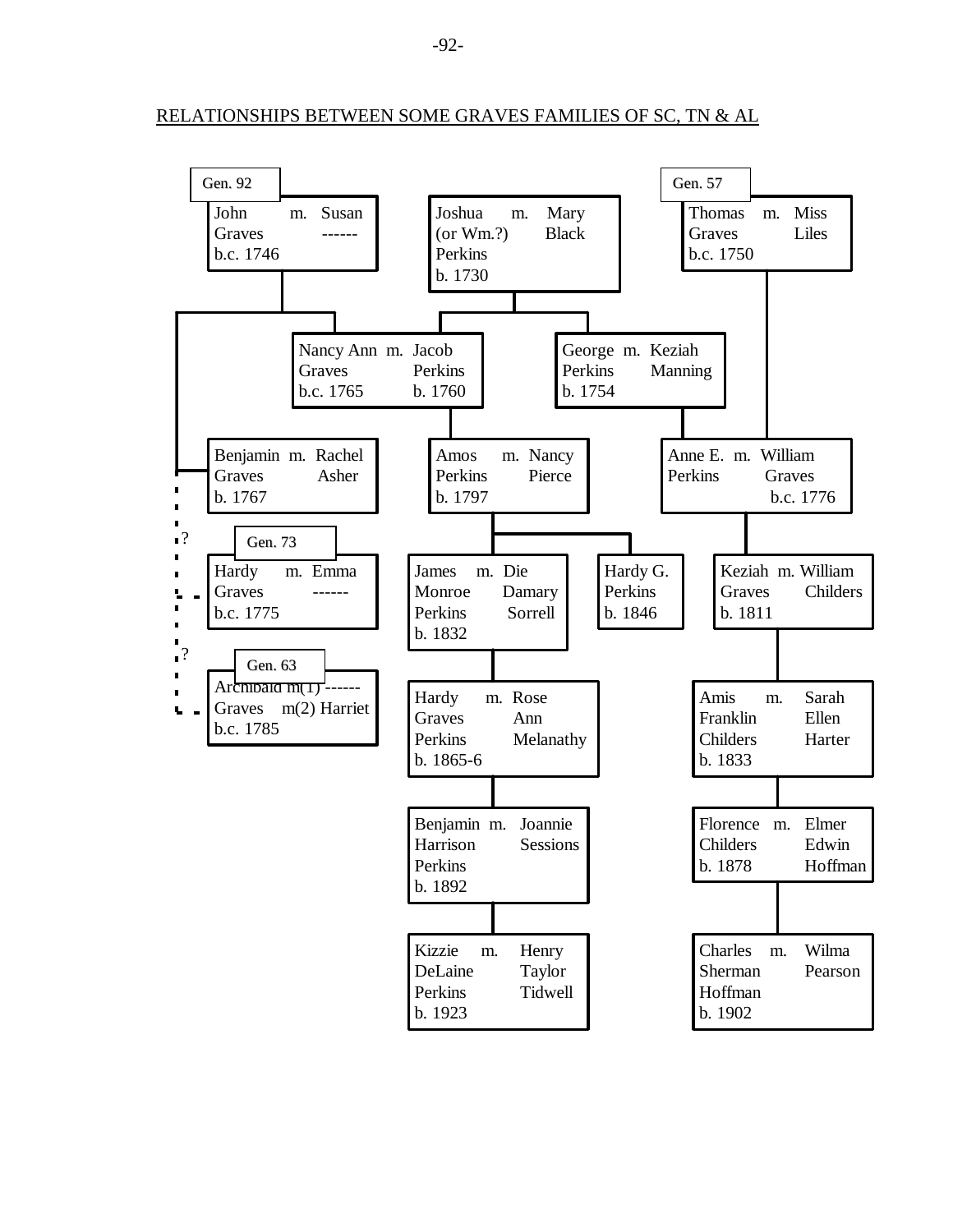RELATIONSHIPS BETWEEN SOME GRAVES FAMILIES OF SC, TN & AL

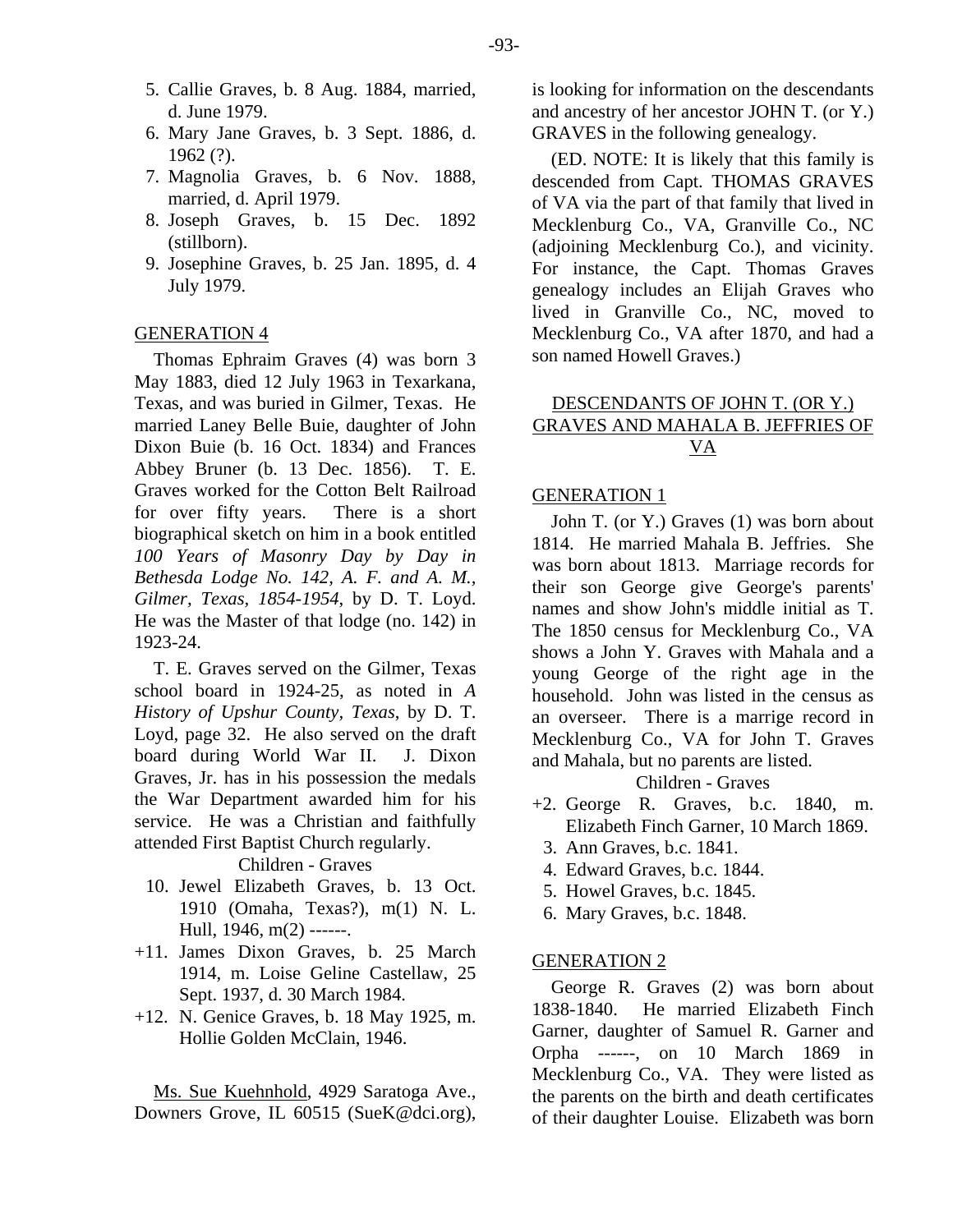- 5. Callie Graves, b. 8 Aug. 1884, married, d. June 1979.
- 6. Mary Jane Graves, b. 3 Sept. 1886, d. 1962 (?).
- 7. Magnolia Graves, b. 6 Nov. 1888, married, d. April 1979.
- 8. Joseph Graves, b. 15 Dec. 1892 (stillborn).
- 9. Josephine Graves, b. 25 Jan. 1895, d. 4 July 1979.

#### GENERATION 4

Thomas Ephraim Graves (4) was born 3 May 1883, died 12 July 1963 in Texarkana, Texas, and was buried in Gilmer, Texas. He married Laney Belle Buie, daughter of John Dixon Buie (b. 16 Oct. 1834) and Frances Abbey Bruner (b. 13 Dec. 1856). T. E. Graves worked for the Cotton Belt Railroad for over fifty years. There is a short biographical sketch on him in a book entitled *100 Years of Masonry Day by Day in Bethesda Lodge No. 142, A. F. and A. M., Gilmer, Texas, 1854-1954*, by D. T. Loyd. He was the Master of that lodge (no. 142) in 1923-24.

T. E. Graves served on the Gilmer, Texas school board in 1924-25, as noted in *A History of Upshur County, Texas*, by D. T. Loyd, page 32. He also served on the draft board during World War II. J. Dixon Graves, Jr. has in his possession the medals the War Department awarded him for his service. He was a Christian and faithfully attended First Baptist Church regularly.

Children - Graves

- 10. Jewel Elizabeth Graves, b. 13 Oct. 1910 (Omaha, Texas?), m(1) N. L. Hull, 1946, m(2) ------.
- +11. James Dixon Graves, b. 25 March 1914, m. Loise Geline Castellaw, 25 Sept. 1937, d. 30 March 1984.
- +12. N. Genice Graves, b. 18 May 1925, m. Hollie Golden McClain, 1946.

Ms. Sue Kuehnhold, 4929 Saratoga Ave., Downers Grove, IL 60515 (SueK@dci.org),

is looking for information on the descendants and ancestry of her ancestor JOHN T. (or Y.) GRAVES in the following genealogy.

(ED. NOTE: It is likely that this family is descended from Capt. THOMAS GRAVES of VA via the part of that family that lived in Mecklenburg Co., VA, Granville Co., NC (adjoining Mecklenburg Co.), and vicinity. For instance, the Capt. Thomas Graves genealogy includes an Elijah Graves who lived in Granville Co., NC, moved to Mecklenburg Co., VA after 1870, and had a son named Howell Graves.)

# DESCENDANTS OF JOHN T. (OR Y.) GRAVES AND MAHALA B. JEFFRIES OF VA

# GENERATION 1

John T. (or Y.) Graves (1) was born about 1814. He married Mahala B. Jeffries. She was born about 1813. Marriage records for their son George give George's parents' names and show John's middle initial as T. The 1850 census for Mecklenburg Co., VA shows a John Y. Graves with Mahala and a young George of the right age in the household. John was listed in the census as an overseer. There is a marrige record in Mecklenburg Co., VA for John T. Graves and Mahala, but no parents are listed.

Children - Graves

- +2. George R. Graves, b.c. 1840, m. Elizabeth Finch Garner, 10 March 1869.
	- 3. Ann Graves, b.c. 1841.
	- 4. Edward Graves, b.c. 1844.
	- 5. Howel Graves, b.c. 1845.
	- 6. Mary Graves, b.c. 1848.

#### GENERATION 2

George R. Graves (2) was born about 1838-1840. He married Elizabeth Finch Garner, daughter of Samuel R. Garner and Orpha ------, on 10 March 1869 in Mecklenburg Co., VA. They were listed as the parents on the birth and death certificates of their daughter Louise. Elizabeth was born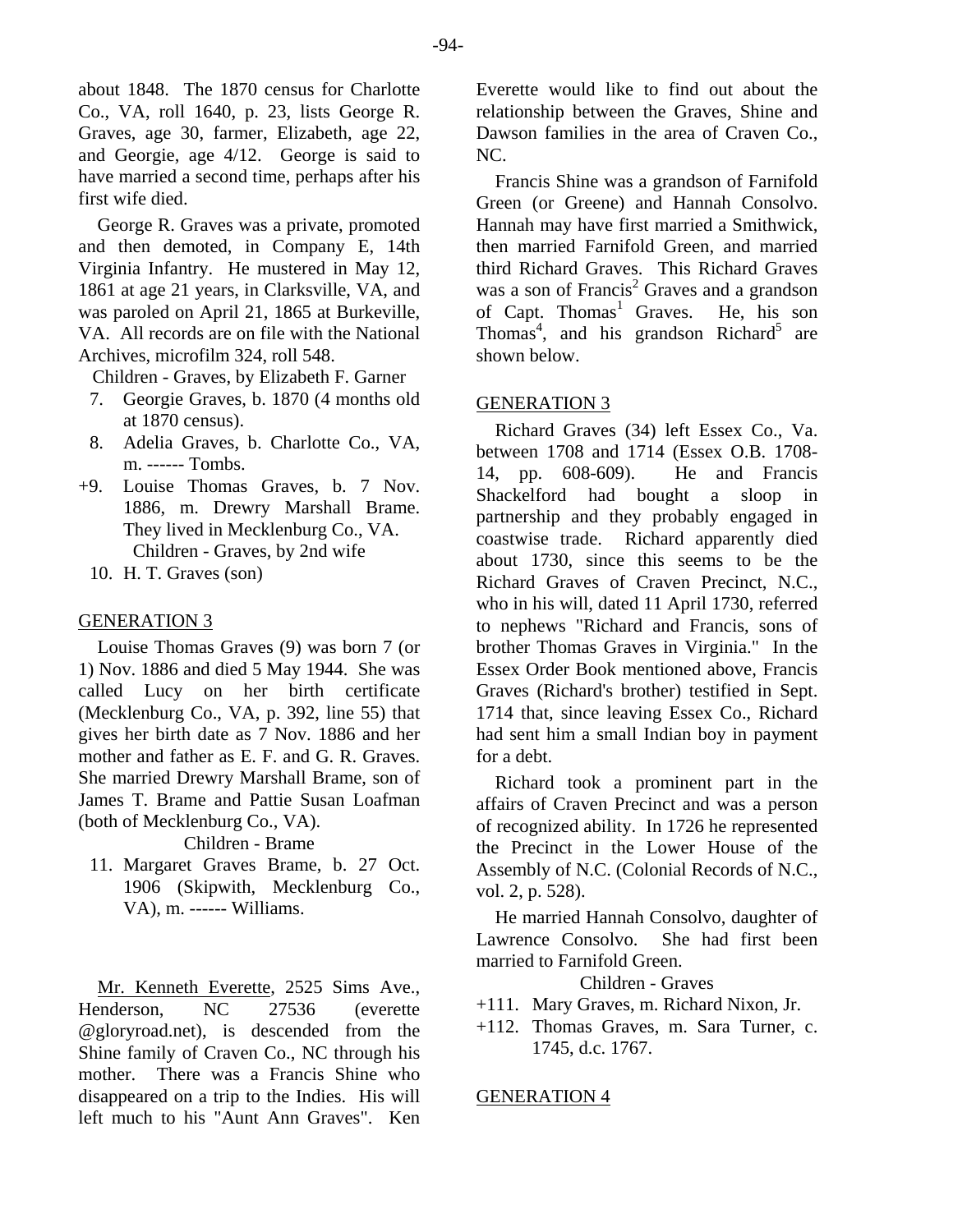about 1848. The 1870 census for Charlotte Co., VA, roll 1640, p. 23, lists George R. Graves, age 30, farmer, Elizabeth, age 22, and Georgie, age 4/12. George is said to have married a second time, perhaps after his first wife died.

George R. Graves was a private, promoted and then demoted, in Company E, 14th Virginia Infantry. He mustered in May 12, 1861 at age 21 years, in Clarksville, VA, and was paroled on April 21, 1865 at Burkeville, VA. All records are on file with the National Archives, microfilm 324, roll 548.

Children - Graves, by Elizabeth F. Garner

- 7. Georgie Graves, b. 1870 (4 months old at 1870 census).
- 8. Adelia Graves, b. Charlotte Co., VA, m. ------ Tombs.
- +9. Louise Thomas Graves, b. 7 Nov. 1886, m. Drewry Marshall Brame. They lived in Mecklenburg Co., VA. Children - Graves, by 2nd wife
	- 10. H. T. Graves (son)

### GENERATION 3

Louise Thomas Graves (9) was born 7 (or 1) Nov. 1886 and died 5 May 1944. She was called Lucy on her birth certificate (Mecklenburg Co., VA, p. 392, line 55) that gives her birth date as 7 Nov. 1886 and her mother and father as E. F. and G. R. Graves. She married Drewry Marshall Brame, son of James T. Brame and Pattie Susan Loafman (both of Mecklenburg Co., VA).

Children - Brame

 11. Margaret Graves Brame, b. 27 Oct. 1906 (Skipwith, Mecklenburg Co., VA), m. ------ Williams.

Mr. Kenneth Everette, 2525 Sims Ave., Henderson, NC 27536 (everette @gloryroad.net), is descended from the Shine family of Craven Co., NC through his mother. There was a Francis Shine who disappeared on a trip to the Indies. His will left much to his "Aunt Ann Graves". Ken

Everette would like to find out about the relationship between the Graves, Shine and Dawson families in the area of Craven Co., NC.

Francis Shine was a grandson of Farnifold Green (or Greene) and Hannah Consolvo. Hannah may have first married a Smithwick, then married Farnifold Green, and married third Richard Graves. This Richard Graves was a son of Francis<sup>2</sup> Graves and a grandson of Capt. Thomas<sup>1</sup> Graves. He, his son Thomas<sup>4</sup>, and his grandson Richard<sup>5</sup> are shown below.

# GENERATION 3

Richard Graves (34) left Essex Co., Va. between 1708 and 1714 (Essex O.B. 1708- 14, pp. 608-609). He and Francis Shackelford had bought a sloop in partnership and they probably engaged in coastwise trade. Richard apparently died about 1730, since this seems to be the Richard Graves of Craven Precinct, N.C., who in his will, dated 11 April 1730, referred to nephews "Richard and Francis, sons of brother Thomas Graves in Virginia." In the Essex Order Book mentioned above, Francis Graves (Richard's brother) testified in Sept. 1714 that, since leaving Essex Co., Richard had sent him a small Indian boy in payment for a debt.

Richard took a prominent part in the affairs of Craven Precinct and was a person of recognized ability. In 1726 he represented the Precinct in the Lower House of the Assembly of N.C. (Colonial Records of N.C., vol. 2, p. 528).

He married Hannah Consolvo, daughter of Lawrence Consolvo. She had first been married to Farnifold Green.

Children - Graves

+111. Mary Graves, m. Richard Nixon, Jr.

+112. Thomas Graves, m. Sara Turner, c. 1745, d.c. 1767.

#### GENERATION 4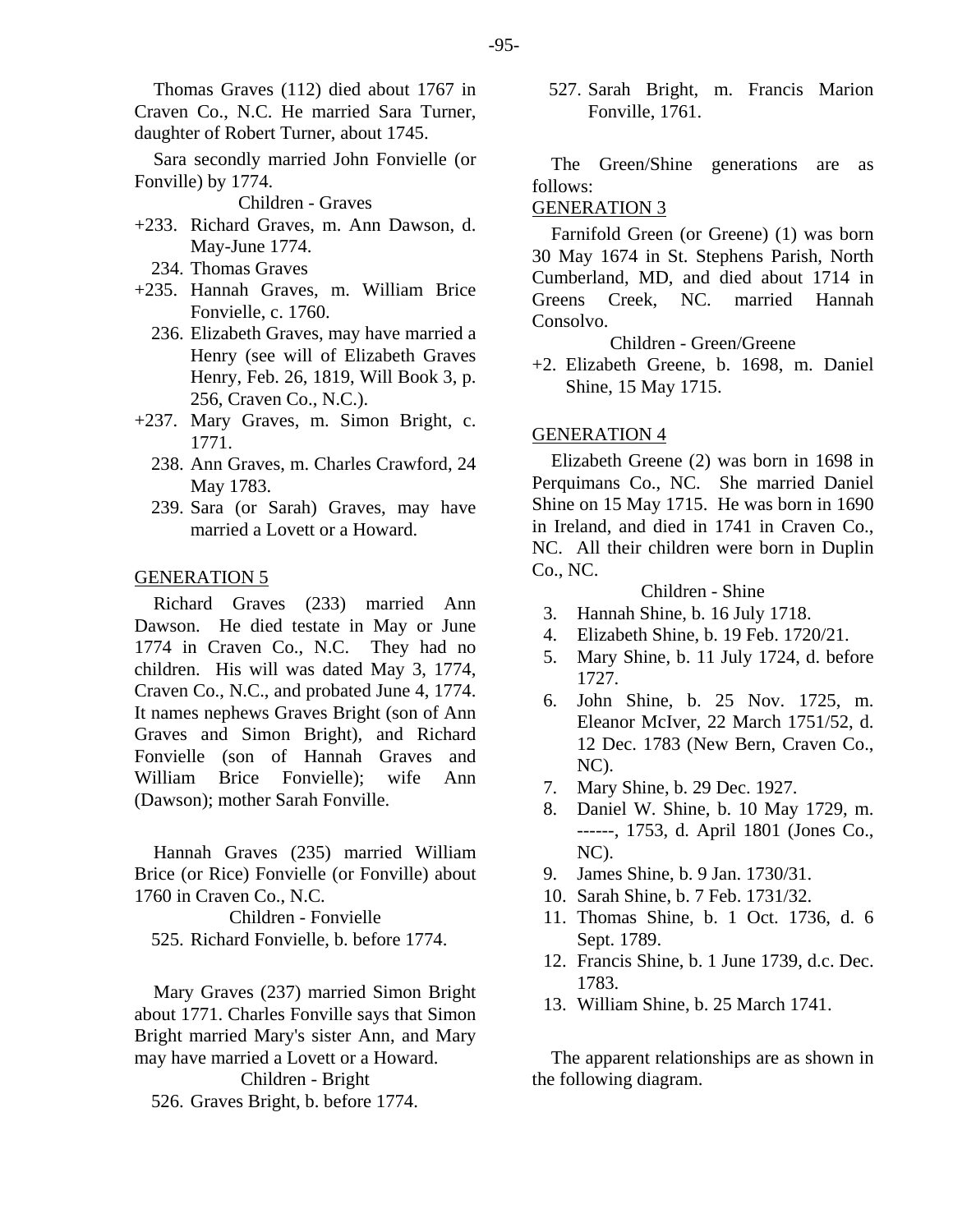Thomas Graves (112) died about 1767 in Craven Co., N.C. He married Sara Turner,

daughter of Robert Turner, about 1745.

Sara secondly married John Fonvielle (or Fonville) by 1774.

# Children - Graves GENERATION 3

- +233. Richard Graves, m. Ann Dawson, d.
	- 234. Thomas Graves
- +235. Hannah Graves, m. William Brice Fonvielle, c. 1760.
	- 236. Elizabeth Graves, may have married a Henry (see will of Elizabeth Graves Henry, Feb. 26, 1819, Will Book 3, p. 256, Craven Co., N.C.).
- +237. Mary Graves, m. Simon Bright, c. 1771.
	- 238. Ann Graves, m. Charles Crawford, 24 May 1783.
	- 239. Sara (or Sarah) Graves, may have married a Lovett or a Howard.

#### GENERATION 5

Children - Shine Richard Graves (233) married Ann Dawson. He died testate in May or June 1774 in Craven Co., N.C. They had no children. His will was dated May 3, 1774, Craven Co., N.C., and probated June 4, 1774. It names nephews Graves Bright (son of Ann Graves and Simon Bright), and Richard Fonvielle (son of Hannah Graves and William Brice Fonvielle); wife Ann (Dawson); mother Sarah Fonville.

Hannah Graves (235) married William NC). Brice (or Rice) Fonvielle (or Fonville) about 1760 in Craven Co., N.C.

525. Richard Fonvielle, b. before 1774. Sept. 1789.

1783. Mary Graves (237) married Simon Bright about 1771. Charles Fonville says that Simon Bright married Mary's sister Ann, and Mary may have married a Lovett or a Howard. Children - Bright the following diagram.

526. Graves Bright, b. before 1774.

 527. Sarah Bright, m. Francis Marion Fonville, 1761.

The Green/Shine generations are as follows:

Richard Graves, in. Ann Dawson, u.<br>May-June 1774. **Farnifold Green** (or Greene) (1) was born 30 May 1674 in St. Stephens Parish, North Cumberland, MD, and died about 1714 in Greens Creek, NC. married Hannah Consolvo.

Children - Green/Greene

+2. Elizabeth Greene, b. 1698, m. Daniel Shine, 15 May 1715.

Elizabeth Greene (2) was born in 1698 in Perquimans Co., NC. She married Daniel Shine on 15 May 1715. He was born in 1690 in Ireland, and died in 1741 in Craven Co., NC. All their children were born in Duplin Co., NC.

- 3. Hannah Shine, b. 16 July 1718.
- 4. Elizabeth Shine, b. 19 Feb. 1720/21.
- 5. Mary Shine, b. 11 July 1724, d. before 1727.
- 6. John Shine, b. 25 Nov. 1725, m. Eleanor McIver, 22 March 1751/52, d. 12 Dec. 1783 (New Bern, Craven Co., NC).
- 7. Mary Shine, b. 29 Dec. 1927.
- 8. Daniel W. Shine, b. 10 May 1729, m. ------, 1753, d. April 1801 (Jones Co.,
- 9. James Shine, b. 9 Jan. 1730/31.
- 10. Sarah Shine, b. 7 Feb. 1731/32.
- Children Fonvielle 11. Thomas Shine, b. 1 Oct. 1736, d. 6
	- 12. Francis Shine, b. 1 June 1739, d.c. Dec.
	- 13. William Shine, b. 25 March 1741.

The apparent relationships are as shown in